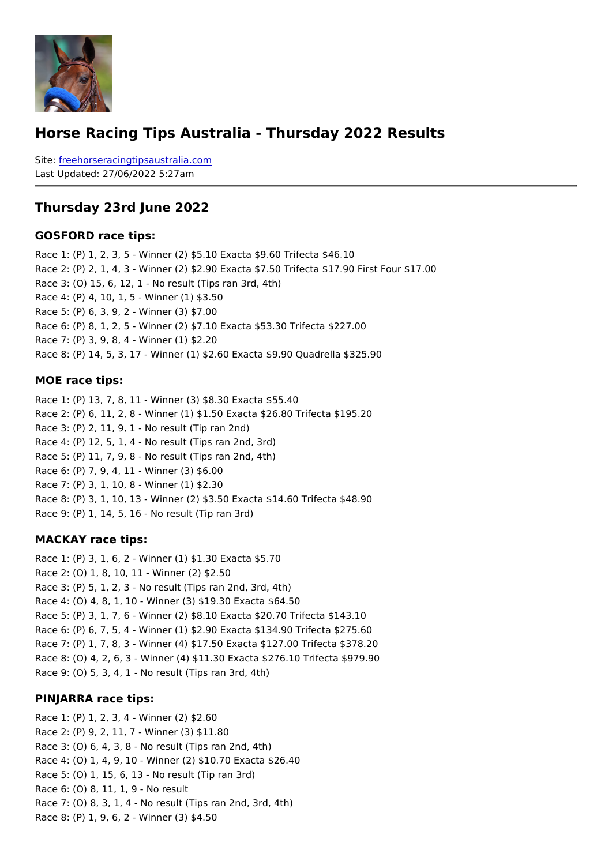# Horse Racing Tips Australia - Thursday 2022 Results

Sitefreehorseracingtipsaustralia.com Last Updated: 27/06/2022 5:27am

#### Thursday 23rd June 2022

#### GOSFORD race tips:

Race 1: (P) 1, 2, 3, 5 - Winner (2) \$5.10 Exacta \$9.60 Trifecta \$46.10 Race 2: (P) 2, 1, 4, 3 - Winner (2) \$2.90 Exacta \$7.50 Trifecta \$17.90 First Four \$17.00 Race 3: (O) 15, 6, 12, 1 - No result (Tips ran 3rd, 4th) Race 4: (P) 4, 10, 1, 5 - Winner (1) \$3.50 Race 5: (P) 6, 3, 9, 2 - Winner (3) \$7.00 Race 6: (P) 8, 1, 2, 5 - Winner (2) \$7.10 Exacta \$53.30 Trifecta \$227.00 Race 7: (P) 3, 9, 8, 4 - Winner (1) \$2.20 Race 8: (P) 14, 5, 3, 17 - Winner (1) \$2.60 Exacta \$9.90 Quadrella \$325.90

#### MOE race tips:

Race 1: (P) 13, 7, 8, 11 - Winner (3) \$8.30 Exacta \$55.40 Race 2: (P) 6, 11, 2, 8 - Winner (1) \$1.50 Exacta \$26.80 Trifecta \$195.20 Race 3: (P) 2, 11, 9, 1 - No result (Tip ran 2nd) Race 4: (P) 12, 5, 1, 4 - No result (Tips ran 2nd, 3rd) Race 5: (P) 11, 7, 9, 8 - No result (Tips ran 2nd, 4th) Race 6: (P) 7, 9, 4, 11 - Winner (3) \$6.00 Race 7: (P) 3, 1, 10, 8 - Winner (1) \$2.30 Race 8: (P) 3, 1, 10, 13 - Winner (2) \$3.50 Exacta \$14.60 Trifecta \$48.90 Race 9: (P) 1, 14, 5, 16 - No result (Tip ran 3rd)

#### MACKAY race tips:

Race 1: (P) 3, 1, 6, 2 - Winner (1) \$1.30 Exacta \$5.70 Race 2: (O) 1, 8, 10, 11 - Winner (2) \$2.50 Race 3: (P) 5, 1, 2, 3 - No result (Tips ran 2nd, 3rd, 4th) Race 4: (O) 4, 8, 1, 10 - Winner (3) \$19.30 Exacta \$64.50 Race 5: (P) 3, 1, 7, 6 - Winner (2) \$8.10 Exacta \$20.70 Trifecta \$143.10 Race 6: (P) 6, 7, 5, 4 - Winner (1) \$2.90 Exacta \$134.90 Trifecta \$275.60 Race 7: (P) 1, 7, 8, 3 - Winner (4) \$17.50 Exacta \$127.00 Trifecta \$378.20 Race 8: (O) 4, 2, 6, 3 - Winner (4) \$11.30 Exacta \$276.10 Trifecta \$979.90 Race 9: (O) 5, 3, 4, 1 - No result (Tips ran 3rd, 4th)

#### PINJARRA race tips:

Race 1: (P) 1, 2, 3, 4 - Winner (2) \$2.60 Race 2: (P) 9, 2, 11, 7 - Winner (3) \$11.80 Race 3: (O) 6, 4, 3, 8 - No result (Tips ran 2nd, 4th) Race 4: (O) 1, 4, 9, 10 - Winner (2) \$10.70 Exacta \$26.40 Race 5: (O) 1, 15, 6, 13 - No result (Tip ran 3rd) Race 6: (O) 8, 11, 1, 9 - No result Race 7: (O) 8, 3, 1, 4 - No result (Tips ran 2nd, 3rd, 4th) Race 8: (P) 1, 9, 6, 2 - Winner (3) \$4.50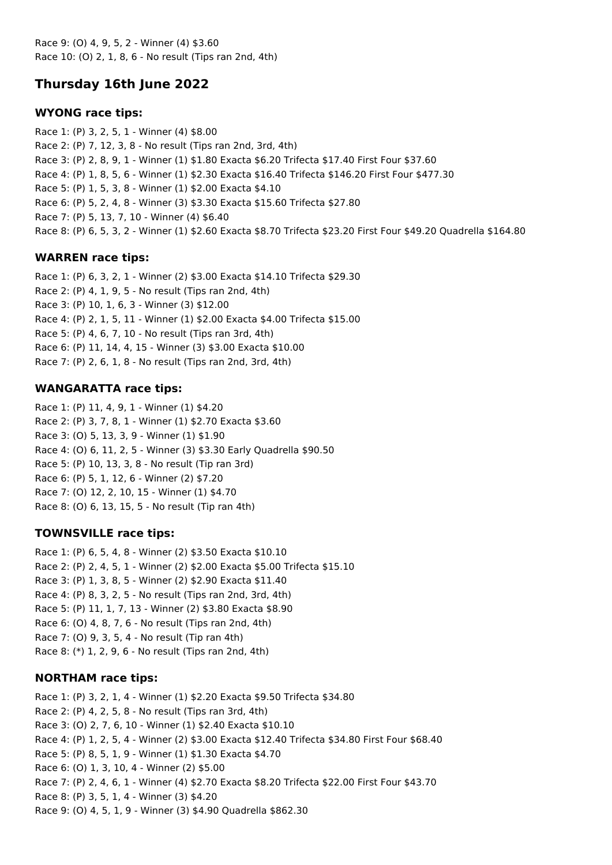Race 9: (O) 4, 9, 5, 2 - Winner (4) \$3.60 Race 10: (O) 2, 1, 8, 6 - No result (Tips ran 2nd, 4th)

# **Thursday 16th June 2022**

## **WYONG race tips:**

Race 1: (P) 3, 2, 5, 1 - Winner (4) \$8.00 Race 2: (P) 7, 12, 3, 8 - No result (Tips ran 2nd, 3rd, 4th) Race 3: (P) 2, 8, 9, 1 - Winner (1) \$1.80 Exacta \$6.20 Trifecta \$17.40 First Four \$37.60 Race 4: (P) 1, 8, 5, 6 - Winner (1) \$2.30 Exacta \$16.40 Trifecta \$146.20 First Four \$477.30 Race 5: (P) 1, 5, 3, 8 - Winner (1) \$2.00 Exacta \$4.10 Race 6: (P) 5, 2, 4, 8 - Winner (3) \$3.30 Exacta \$15.60 Trifecta \$27.80 Race 7: (P) 5, 13, 7, 10 - Winner (4) \$6.40 Race 8: (P) 6, 5, 3, 2 - Winner (1) \$2.60 Exacta \$8.70 Trifecta \$23.20 First Four \$49.20 Quadrella \$164.80

## **WARREN race tips:**

Race 1: (P) 6, 3, 2, 1 - Winner (2) \$3.00 Exacta \$14.10 Trifecta \$29.30 Race 2: (P) 4, 1, 9, 5 - No result (Tips ran 2nd, 4th) Race 3: (P) 10, 1, 6, 3 - Winner (3) \$12.00 Race 4: (P) 2, 1, 5, 11 - Winner (1) \$2.00 Exacta \$4.00 Trifecta \$15.00 Race 5: (P) 4, 6, 7, 10 - No result (Tips ran 3rd, 4th) Race 6: (P) 11, 14, 4, 15 - Winner (3) \$3.00 Exacta \$10.00 Race 7: (P) 2, 6, 1, 8 - No result (Tips ran 2nd, 3rd, 4th)

## **WANGARATTA race tips:**

Race 1: (P) 11, 4, 9, 1 - Winner (1) \$4.20 Race 2: (P) 3, 7, 8, 1 - Winner (1) \$2.70 Exacta \$3.60 Race 3: (O) 5, 13, 3, 9 - Winner (1) \$1.90 Race 4: (O) 6, 11, 2, 5 - Winner (3) \$3.30 Early Quadrella \$90.50 Race 5: (P) 10, 13, 3, 8 - No result (Tip ran 3rd) Race 6: (P) 5, 1, 12, 6 - Winner (2) \$7.20 Race 7: (O) 12, 2, 10, 15 - Winner (1) \$4.70 Race 8: (O) 6, 13, 15, 5 - No result (Tip ran 4th)

## **TOWNSVILLE race tips:**

Race 1: (P) 6, 5, 4, 8 - Winner (2) \$3.50 Exacta \$10.10 Race 2: (P) 2, 4, 5, 1 - Winner (2) \$2.00 Exacta \$5.00 Trifecta \$15.10 Race 3: (P) 1, 3, 8, 5 - Winner (2) \$2.90 Exacta \$11.40 Race 4: (P) 8, 3, 2, 5 - No result (Tips ran 2nd, 3rd, 4th) Race 5: (P) 11, 1, 7, 13 - Winner (2) \$3.80 Exacta \$8.90 Race 6: (O) 4, 8, 7, 6 - No result (Tips ran 2nd, 4th) Race 7: (O) 9, 3, 5, 4 - No result (Tip ran 4th) Race 8: (\*) 1, 2, 9, 6 - No result (Tips ran 2nd, 4th)

## **NORTHAM race tips:**

Race 1: (P) 3, 2, 1, 4 - Winner (1) \$2.20 Exacta \$9.50 Trifecta \$34.80 Race 2: (P) 4, 2, 5, 8 - No result (Tips ran 3rd, 4th) Race 3: (O) 2, 7, 6, 10 - Winner (1) \$2.40 Exacta \$10.10 Race 4: (P) 1, 2, 5, 4 - Winner (2) \$3.00 Exacta \$12.40 Trifecta \$34.80 First Four \$68.40 Race 5: (P) 8, 5, 1, 9 - Winner (1) \$1.30 Exacta \$4.70 Race 6: (O) 1, 3, 10, 4 - Winner (2) \$5.00 Race 7: (P) 2, 4, 6, 1 - Winner (4) \$2.70 Exacta \$8.20 Trifecta \$22.00 First Four \$43.70 Race 8: (P) 3, 5, 1, 4 - Winner (3) \$4.20 Race 9: (O) 4, 5, 1, 9 - Winner (3) \$4.90 Quadrella \$862.30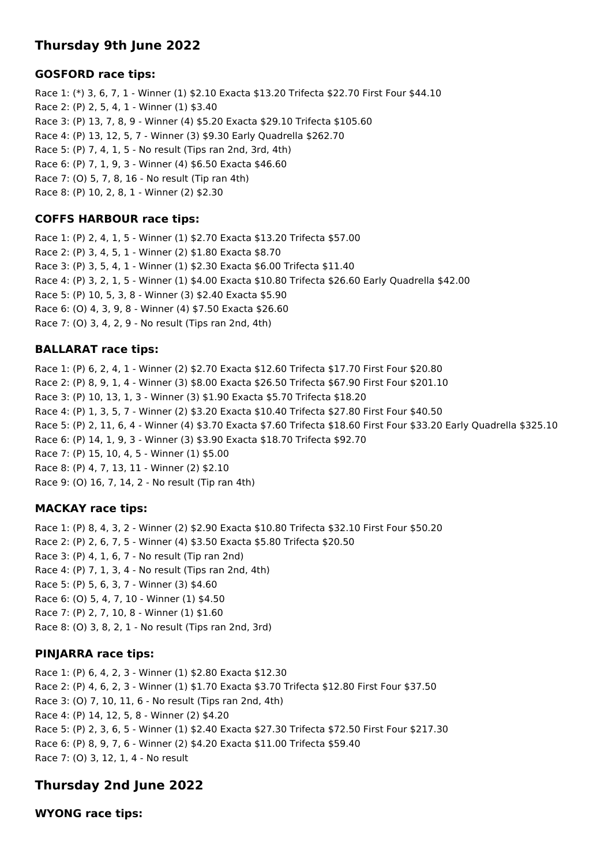# **Thursday 9th June 2022**

## **GOSFORD race tips:**

Race 1: (\*) 3, 6, 7, 1 - Winner (1) \$2.10 Exacta \$13.20 Trifecta \$22.70 First Four \$44.10 Race 2: (P) 2, 5, 4, 1 - Winner (1) \$3.40 Race 3: (P) 13, 7, 8, 9 - Winner (4) \$5.20 Exacta \$29.10 Trifecta \$105.60 Race 4: (P) 13, 12, 5, 7 - Winner (3) \$9.30 Early Quadrella \$262.70 Race 5: (P) 7, 4, 1, 5 - No result (Tips ran 2nd, 3rd, 4th) Race 6: (P) 7, 1, 9, 3 - Winner (4) \$6.50 Exacta \$46.60 Race 7: (O) 5, 7, 8, 16 - No result (Tip ran 4th) Race 8: (P) 10, 2, 8, 1 - Winner (2) \$2.30

## **COFFS HARBOUR race tips:**

Race 1: (P) 2, 4, 1, 5 - Winner (1) \$2.70 Exacta \$13.20 Trifecta \$57.00 Race 2: (P) 3, 4, 5, 1 - Winner (2) \$1.80 Exacta \$8.70 Race 3: (P) 3, 5, 4, 1 - Winner (1) \$2.30 Exacta \$6.00 Trifecta \$11.40 Race 4: (P) 3, 2, 1, 5 - Winner (1) \$4.00 Exacta \$10.80 Trifecta \$26.60 Early Quadrella \$42.00 Race 5: (P) 10, 5, 3, 8 - Winner (3) \$2.40 Exacta \$5.90 Race 6: (O) 4, 3, 9, 8 - Winner (4) \$7.50 Exacta \$26.60 Race 7: (O) 3, 4, 2, 9 - No result (Tips ran 2nd, 4th)

## **BALLARAT race tips:**

Race 1: (P) 6, 2, 4, 1 - Winner (2) \$2.70 Exacta \$12.60 Trifecta \$17.70 First Four \$20.80 Race 2: (P) 8, 9, 1, 4 - Winner (3) \$8.00 Exacta \$26.50 Trifecta \$67.90 First Four \$201.10 Race 3: (P) 10, 13, 1, 3 - Winner (3) \$1.90 Exacta \$5.70 Trifecta \$18.20 Race 4: (P) 1, 3, 5, 7 - Winner (2) \$3.20 Exacta \$10.40 Trifecta \$27.80 First Four \$40.50 Race 5: (P) 2, 11, 6, 4 - Winner (4) \$3.70 Exacta \$7.60 Trifecta \$18.60 First Four \$33.20 Early Quadrella \$325.10 Race 6: (P) 14, 1, 9, 3 - Winner (3) \$3.90 Exacta \$18.70 Trifecta \$92.70 Race 7: (P) 15, 10, 4, 5 - Winner (1) \$5.00 Race 8: (P) 4, 7, 13, 11 - Winner (2) \$2.10 Race 9: (O) 16, 7, 14, 2 - No result (Tip ran 4th)

## **MACKAY race tips:**

Race 1: (P) 8, 4, 3, 2 - Winner (2) \$2.90 Exacta \$10.80 Trifecta \$32.10 First Four \$50.20 Race 2: (P) 2, 6, 7, 5 - Winner (4) \$3.50 Exacta \$5.80 Trifecta \$20.50 Race 3: (P) 4, 1, 6, 7 - No result (Tip ran 2nd) Race 4: (P) 7, 1, 3, 4 - No result (Tips ran 2nd, 4th) Race 5: (P) 5, 6, 3, 7 - Winner (3) \$4.60 Race 6: (O) 5, 4, 7, 10 - Winner (1) \$4.50 Race 7: (P) 2, 7, 10, 8 - Winner (1) \$1.60 Race 8: (O) 3, 8, 2, 1 - No result (Tips ran 2nd, 3rd)

# **PINJARRA race tips:**

Race 1: (P) 6, 4, 2, 3 - Winner (1) \$2.80 Exacta \$12.30 Race 2: (P) 4, 6, 2, 3 - Winner (1) \$1.70 Exacta \$3.70 Trifecta \$12.80 First Four \$37.50 Race 3: (O) 7, 10, 11, 6 - No result (Tips ran 2nd, 4th) Race 4: (P) 14, 12, 5, 8 - Winner (2) \$4.20 Race 5: (P) 2, 3, 6, 5 - Winner (1) \$2.40 Exacta \$27.30 Trifecta \$72.50 First Four \$217.30 Race 6: (P) 8, 9, 7, 6 - Winner (2) \$4.20 Exacta \$11.00 Trifecta \$59.40 Race 7: (O) 3, 12, 1, 4 - No result

# **Thursday 2nd June 2022**

**WYONG race tips:**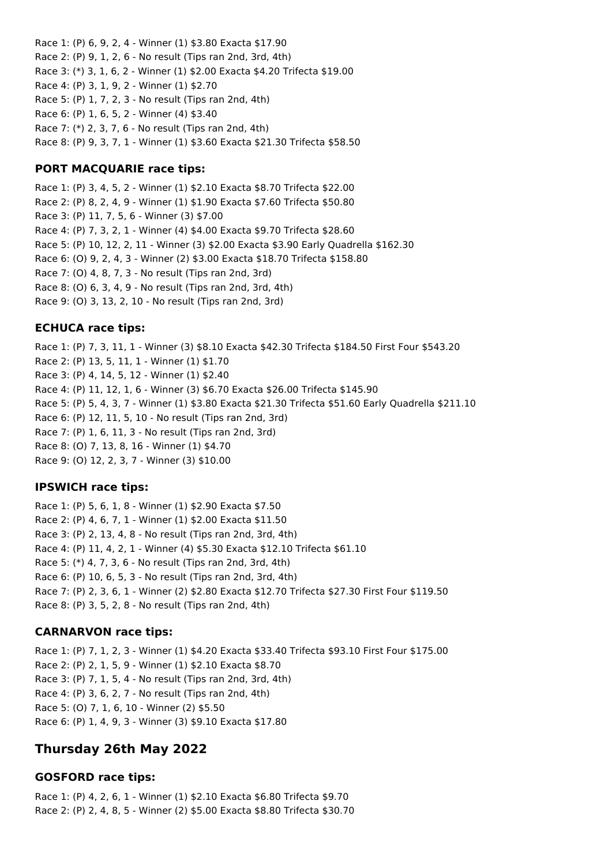Race 1: (P) 6, 9, 2, 4 - Winner (1) \$3.80 Exacta \$17.90 Race 2: (P) 9, 1, 2, 6 - No result (Tips ran 2nd, 3rd, 4th) Race 3: (\*) 3, 1, 6, 2 - Winner (1) \$2.00 Exacta \$4.20 Trifecta \$19.00 Race 4: (P) 3, 1, 9, 2 - Winner (1) \$2.70 Race 5: (P) 1, 7, 2, 3 - No result (Tips ran 2nd, 4th) Race 6: (P) 1, 6, 5, 2 - Winner (4) \$3.40 Race 7: (\*) 2, 3, 7, 6 - No result (Tips ran 2nd, 4th) Race 8: (P) 9, 3, 7, 1 - Winner (1) \$3.60 Exacta \$21.30 Trifecta \$58.50

## **PORT MACQUARIE race tips:**

Race 1: (P) 3, 4, 5, 2 - Winner (1) \$2.10 Exacta \$8.70 Trifecta \$22.00 Race 2: (P) 8, 2, 4, 9 - Winner (1) \$1.90 Exacta \$7.60 Trifecta \$50.80 Race 3: (P) 11, 7, 5, 6 - Winner (3) \$7.00 Race 4: (P) 7, 3, 2, 1 - Winner (4) \$4.00 Exacta \$9.70 Trifecta \$28.60 Race 5: (P) 10, 12, 2, 11 - Winner (3) \$2.00 Exacta \$3.90 Early Quadrella \$162.30 Race 6: (O) 9, 2, 4, 3 - Winner (2) \$3.00 Exacta \$18.70 Trifecta \$158.80 Race 7: (O) 4, 8, 7, 3 - No result (Tips ran 2nd, 3rd) Race 8: (O) 6, 3, 4, 9 - No result (Tips ran 2nd, 3rd, 4th) Race 9: (O) 3, 13, 2, 10 - No result (Tips ran 2nd, 3rd)

### **ECHUCA race tips:**

Race 1: (P) 7, 3, 11, 1 - Winner (3) \$8.10 Exacta \$42.30 Trifecta \$184.50 First Four \$543.20 Race 2: (P) 13, 5, 11, 1 - Winner (1) \$1.70 Race 3: (P) 4, 14, 5, 12 - Winner (1) \$2.40 Race 4: (P) 11, 12, 1, 6 - Winner (3) \$6.70 Exacta \$26.00 Trifecta \$145.90 Race 5: (P) 5, 4, 3, 7 - Winner (1) \$3.80 Exacta \$21.30 Trifecta \$51.60 Early Quadrella \$211.10 Race 6: (P) 12, 11, 5, 10 - No result (Tips ran 2nd, 3rd) Race 7: (P) 1, 6, 11, 3 - No result (Tips ran 2nd, 3rd) Race 8: (O) 7, 13, 8, 16 - Winner (1) \$4.70 Race 9: (O) 12, 2, 3, 7 - Winner (3) \$10.00

### **IPSWICH race tips:**

Race 1: (P) 5, 6, 1, 8 - Winner (1) \$2.90 Exacta \$7.50 Race 2: (P) 4, 6, 7, 1 - Winner (1) \$2.00 Exacta \$11.50 Race 3: (P) 2, 13, 4, 8 - No result (Tips ran 2nd, 3rd, 4th) Race 4: (P) 11, 4, 2, 1 - Winner (4) \$5.30 Exacta \$12.10 Trifecta \$61.10 Race 5: (\*) 4, 7, 3, 6 - No result (Tips ran 2nd, 3rd, 4th) Race 6: (P) 10, 6, 5, 3 - No result (Tips ran 2nd, 3rd, 4th) Race 7: (P) 2, 3, 6, 1 - Winner (2) \$2.80 Exacta \$12.70 Trifecta \$27.30 First Four \$119.50 Race 8: (P) 3, 5, 2, 8 - No result (Tips ran 2nd, 4th)

### **CARNARVON race tips:**

Race 1: (P) 7, 1, 2, 3 - Winner (1) \$4.20 Exacta \$33.40 Trifecta \$93.10 First Four \$175.00 Race 2: (P) 2, 1, 5, 9 - Winner (1) \$2.10 Exacta \$8.70 Race 3: (P) 7, 1, 5, 4 - No result (Tips ran 2nd, 3rd, 4th) Race 4: (P) 3, 6, 2, 7 - No result (Tips ran 2nd, 4th) Race 5: (O) 7, 1, 6, 10 - Winner (2) \$5.50 Race 6: (P) 1, 4, 9, 3 - Winner (3) \$9.10 Exacta \$17.80

# **Thursday 26th May 2022**

## **GOSFORD race tips:**

Race 1: (P) 4, 2, 6, 1 - Winner (1) \$2.10 Exacta \$6.80 Trifecta \$9.70 Race 2: (P) 2, 4, 8, 5 - Winner (2) \$5.00 Exacta \$8.80 Trifecta \$30.70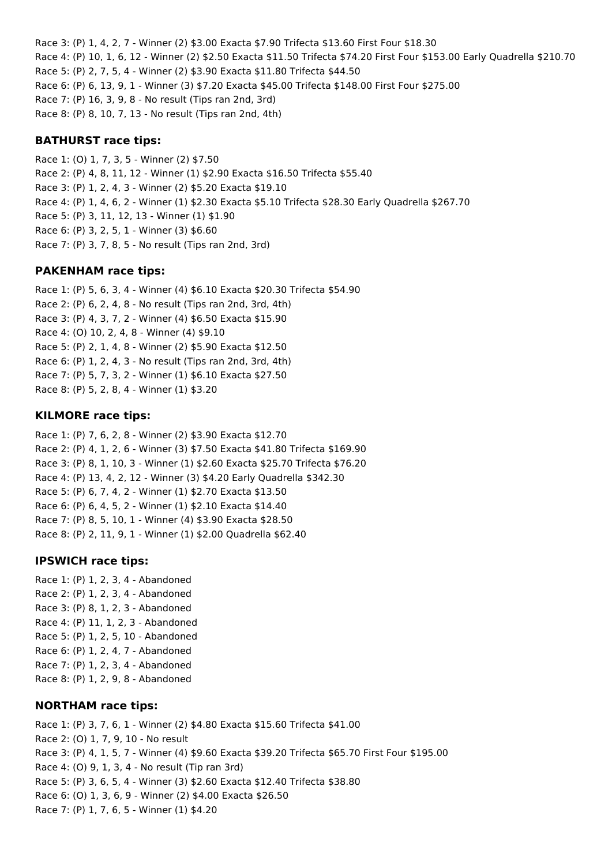Race 3: (P) 1, 4, 2, 7 - Winner (2) \$3.00 Exacta \$7.90 Trifecta \$13.60 First Four \$18.30 Race 4: (P) 10, 1, 6, 12 - Winner (2) \$2.50 Exacta \$11.50 Trifecta \$74.20 First Four \$153.00 Early Quadrella \$210.70 Race 5: (P) 2, 7, 5, 4 - Winner (2) \$3.90 Exacta \$11.80 Trifecta \$44.50 Race 6: (P) 6, 13, 9, 1 - Winner (3) \$7.20 Exacta \$45.00 Trifecta \$148.00 First Four \$275.00 Race 7: (P) 16, 3, 9, 8 - No result (Tips ran 2nd, 3rd) Race 8: (P) 8, 10, 7, 13 - No result (Tips ran 2nd, 4th)

## **BATHURST race tips:**

Race 1: (O) 1, 7, 3, 5 - Winner (2) \$7.50 Race 2: (P) 4, 8, 11, 12 - Winner (1) \$2.90 Exacta \$16.50 Trifecta \$55.40 Race 3: (P) 1, 2, 4, 3 - Winner (2) \$5.20 Exacta \$19.10 Race 4: (P) 1, 4, 6, 2 - Winner (1) \$2.30 Exacta \$5.10 Trifecta \$28.30 Early Quadrella \$267.70 Race 5: (P) 3, 11, 12, 13 - Winner (1) \$1.90 Race 6: (P) 3, 2, 5, 1 - Winner (3) \$6.60 Race 7: (P) 3, 7, 8, 5 - No result (Tips ran 2nd, 3rd)

### **PAKENHAM race tips:**

Race 1: (P) 5, 6, 3, 4 - Winner (4) \$6.10 Exacta \$20.30 Trifecta \$54.90 Race 2: (P) 6, 2, 4, 8 - No result (Tips ran 2nd, 3rd, 4th) Race 3: (P) 4, 3, 7, 2 - Winner (4) \$6.50 Exacta \$15.90 Race 4: (O) 10, 2, 4, 8 - Winner (4) \$9.10 Race 5: (P) 2, 1, 4, 8 - Winner (2) \$5.90 Exacta \$12.50 Race 6: (P) 1, 2, 4, 3 - No result (Tips ran 2nd, 3rd, 4th) Race 7: (P) 5, 7, 3, 2 - Winner (1) \$6.10 Exacta \$27.50 Race 8: (P) 5, 2, 8, 4 - Winner (1) \$3.20

## **KILMORE race tips:**

Race 1: (P) 7, 6, 2, 8 - Winner (2) \$3.90 Exacta \$12.70 Race 2: (P) 4, 1, 2, 6 - Winner (3) \$7.50 Exacta \$41.80 Trifecta \$169.90 Race 3: (P) 8, 1, 10, 3 - Winner (1) \$2.60 Exacta \$25.70 Trifecta \$76.20 Race 4: (P) 13, 4, 2, 12 - Winner (3) \$4.20 Early Quadrella \$342.30 Race 5: (P) 6, 7, 4, 2 - Winner (1) \$2.70 Exacta \$13.50 Race 6: (P) 6, 4, 5, 2 - Winner (1) \$2.10 Exacta \$14.40 Race 7: (P) 8, 5, 10, 1 - Winner (4) \$3.90 Exacta \$28.50 Race 8: (P) 2, 11, 9, 1 - Winner (1) \$2.00 Quadrella \$62.40

## **IPSWICH race tips:**

Race 1: (P) 1, 2, 3, 4 - Abandoned Race 2: (P) 1, 2, 3, 4 - Abandoned Race 3: (P) 8, 1, 2, 3 - Abandoned Race 4: (P) 11, 1, 2, 3 - Abandoned Race 5: (P) 1, 2, 5, 10 - Abandoned Race 6: (P) 1, 2, 4, 7 - Abandoned Race 7: (P) 1, 2, 3, 4 - Abandoned Race 8: (P) 1, 2, 9, 8 - Abandoned

## **NORTHAM race tips:**

Race 1: (P) 3, 7, 6, 1 - Winner (2) \$4.80 Exacta \$15.60 Trifecta \$41.00 Race 2: (O) 1, 7, 9, 10 - No result Race 3: (P) 4, 1, 5, 7 - Winner (4) \$9.60 Exacta \$39.20 Trifecta \$65.70 First Four \$195.00 Race 4: (O) 9, 1, 3, 4 - No result (Tip ran 3rd) Race 5: (P) 3, 6, 5, 4 - Winner (3) \$2.60 Exacta \$12.40 Trifecta \$38.80 Race 6: (O) 1, 3, 6, 9 - Winner (2) \$4.00 Exacta \$26.50 Race 7: (P) 1, 7, 6, 5 - Winner (1) \$4.20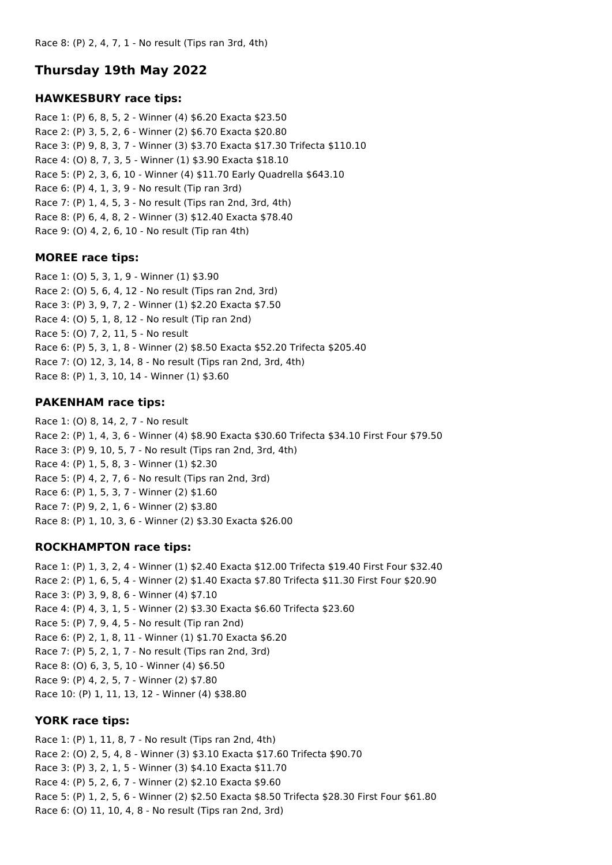## **Thursday 19th May 2022**

### **HAWKESBURY race tips:**

Race 1: (P) 6, 8, 5, 2 - Winner (4) \$6.20 Exacta \$23.50 Race 2: (P) 3, 5, 2, 6 - Winner (2) \$6.70 Exacta \$20.80 Race 3: (P) 9, 8, 3, 7 - Winner (3) \$3.70 Exacta \$17.30 Trifecta \$110.10 Race 4: (O) 8, 7, 3, 5 - Winner (1) \$3.90 Exacta \$18.10 Race 5: (P) 2, 3, 6, 10 - Winner (4) \$11.70 Early Quadrella \$643.10 Race 6: (P) 4, 1, 3, 9 - No result (Tip ran 3rd) Race 7: (P) 1, 4, 5, 3 - No result (Tips ran 2nd, 3rd, 4th) Race 8: (P) 6, 4, 8, 2 - Winner (3) \$12.40 Exacta \$78.40 Race 9: (O) 4, 2, 6, 10 - No result (Tip ran 4th)

### **MOREE race tips:**

Race 1: (O) 5, 3, 1, 9 - Winner (1) \$3.90 Race 2: (O) 5, 6, 4, 12 - No result (Tips ran 2nd, 3rd) Race 3: (P) 3, 9, 7, 2 - Winner (1) \$2.20 Exacta \$7.50 Race 4: (O) 5, 1, 8, 12 - No result (Tip ran 2nd) Race 5: (O) 7, 2, 11, 5 - No result Race 6: (P) 5, 3, 1, 8 - Winner (2) \$8.50 Exacta \$52.20 Trifecta \$205.40 Race 7: (O) 12, 3, 14, 8 - No result (Tips ran 2nd, 3rd, 4th) Race 8: (P) 1, 3, 10, 14 - Winner (1) \$3.60

## **PAKENHAM race tips:**

Race 1: (O) 8, 14, 2, 7 - No result Race 2: (P) 1, 4, 3, 6 - Winner (4) \$8.90 Exacta \$30.60 Trifecta \$34.10 First Four \$79.50 Race 3: (P) 9, 10, 5, 7 - No result (Tips ran 2nd, 3rd, 4th) Race 4: (P) 1, 5, 8, 3 - Winner (1) \$2.30 Race 5: (P) 4, 2, 7, 6 - No result (Tips ran 2nd, 3rd) Race 6: (P) 1, 5, 3, 7 - Winner (2) \$1.60 Race 7: (P) 9, 2, 1, 6 - Winner (2) \$3.80 Race 8: (P) 1, 10, 3, 6 - Winner (2) \$3.30 Exacta \$26.00

## **ROCKHAMPTON race tips:**

Race 1: (P) 1, 3, 2, 4 - Winner (1) \$2.40 Exacta \$12.00 Trifecta \$19.40 First Four \$32.40 Race 2: (P) 1, 6, 5, 4 - Winner (2) \$1.40 Exacta \$7.80 Trifecta \$11.30 First Four \$20.90 Race 3: (P) 3, 9, 8, 6 - Winner (4) \$7.10 Race 4: (P) 4, 3, 1, 5 - Winner (2) \$3.30 Exacta \$6.60 Trifecta \$23.60 Race 5: (P) 7, 9, 4, 5 - No result (Tip ran 2nd) Race 6: (P) 2, 1, 8, 11 - Winner (1) \$1.70 Exacta \$6.20 Race 7: (P) 5, 2, 1, 7 - No result (Tips ran 2nd, 3rd) Race 8: (O) 6, 3, 5, 10 - Winner (4) \$6.50 Race 9: (P) 4, 2, 5, 7 - Winner (2) \$7.80 Race 10: (P) 1, 11, 13, 12 - Winner (4) \$38.80

### **YORK race tips:**

Race 1: (P) 1, 11, 8, 7 - No result (Tips ran 2nd, 4th) Race 2: (O) 2, 5, 4, 8 - Winner (3) \$3.10 Exacta \$17.60 Trifecta \$90.70 Race 3: (P) 3, 2, 1, 5 - Winner (3) \$4.10 Exacta \$11.70 Race 4: (P) 5, 2, 6, 7 - Winner (2) \$2.10 Exacta \$9.60 Race 5: (P) 1, 2, 5, 6 - Winner (2) \$2.50 Exacta \$8.50 Trifecta \$28.30 First Four \$61.80 Race 6: (O) 11, 10, 4, 8 - No result (Tips ran 2nd, 3rd)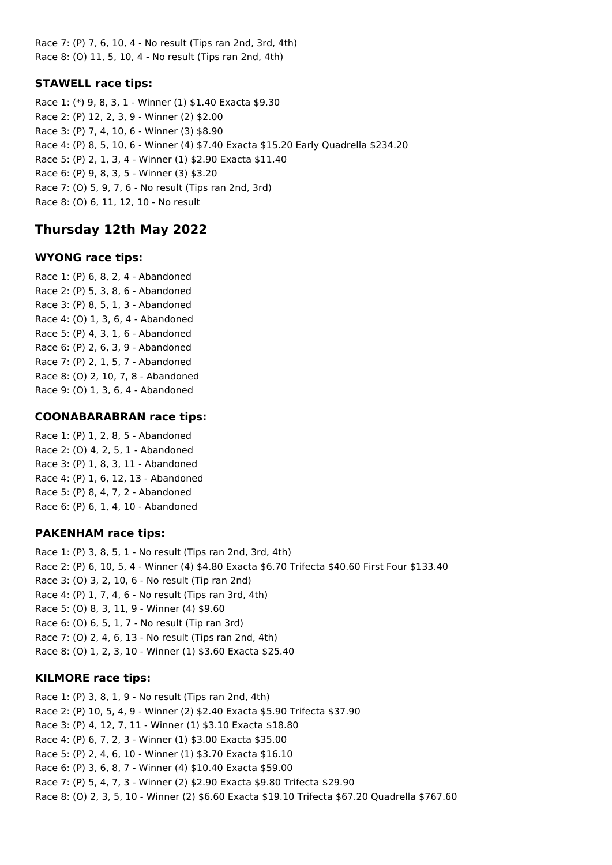Race 7: (P) 7, 6, 10, 4 - No result (Tips ran 2nd, 3rd, 4th) Race 8: (O) 11, 5, 10, 4 - No result (Tips ran 2nd, 4th)

## **STAWELL race tips:**

Race 1: (\*) 9, 8, 3, 1 - Winner (1) \$1.40 Exacta \$9.30 Race 2: (P) 12, 2, 3, 9 - Winner (2) \$2.00 Race 3: (P) 7, 4, 10, 6 - Winner (3) \$8.90 Race 4: (P) 8, 5, 10, 6 - Winner (4) \$7.40 Exacta \$15.20 Early Quadrella \$234.20 Race 5: (P) 2, 1, 3, 4 - Winner (1) \$2.90 Exacta \$11.40 Race 6: (P) 9, 8, 3, 5 - Winner (3) \$3.20 Race 7: (O) 5, 9, 7, 6 - No result (Tips ran 2nd, 3rd) Race 8: (O) 6, 11, 12, 10 - No result

# **Thursday 12th May 2022**

## **WYONG race tips:**

Race 1: (P) 6, 8, 2, 4 - Abandoned Race 2: (P) 5, 3, 8, 6 - Abandoned Race 3: (P) 8, 5, 1, 3 - Abandoned Race 4: (O) 1, 3, 6, 4 - Abandoned Race 5: (P) 4, 3, 1, 6 - Abandoned Race 6: (P) 2, 6, 3, 9 - Abandoned Race 7: (P) 2, 1, 5, 7 - Abandoned Race 8: (O) 2, 10, 7, 8 - Abandoned Race 9: (O) 1, 3, 6, 4 - Abandoned

## **COONABARABRAN race tips:**

Race 1: (P) 1, 2, 8, 5 - Abandoned Race 2: (O) 4, 2, 5, 1 - Abandoned Race 3: (P) 1, 8, 3, 11 - Abandoned Race 4: (P) 1, 6, 12, 13 - Abandoned Race 5: (P) 8, 4, 7, 2 - Abandoned Race 6: (P) 6, 1, 4, 10 - Abandoned

## **PAKENHAM race tips:**

Race 1: (P) 3, 8, 5, 1 - No result (Tips ran 2nd, 3rd, 4th) Race 2: (P) 6, 10, 5, 4 - Winner (4) \$4.80 Exacta \$6.70 Trifecta \$40.60 First Four \$133.40 Race 3: (O) 3, 2, 10, 6 - No result (Tip ran 2nd) Race 4: (P) 1, 7, 4, 6 - No result (Tips ran 3rd, 4th) Race 5: (O) 8, 3, 11, 9 - Winner (4) \$9.60 Race 6: (O) 6, 5, 1, 7 - No result (Tip ran 3rd) Race 7: (O) 2, 4, 6, 13 - No result (Tips ran 2nd, 4th) Race 8: (O) 1, 2, 3, 10 - Winner (1) \$3.60 Exacta \$25.40

## **KILMORE race tips:**

Race 1: (P) 3, 8, 1, 9 - No result (Tips ran 2nd, 4th) Race 2: (P) 10, 5, 4, 9 - Winner (2) \$2.40 Exacta \$5.90 Trifecta \$37.90 Race 3: (P) 4, 12, 7, 11 - Winner (1) \$3.10 Exacta \$18.80 Race 4: (P) 6, 7, 2, 3 - Winner (1) \$3.00 Exacta \$35.00 Race 5: (P) 2, 4, 6, 10 - Winner (1) \$3.70 Exacta \$16.10 Race 6: (P) 3, 6, 8, 7 - Winner (4) \$10.40 Exacta \$59.00 Race 7: (P) 5, 4, 7, 3 - Winner (2) \$2.90 Exacta \$9.80 Trifecta \$29.90 Race 8: (O) 2, 3, 5, 10 - Winner (2) \$6.60 Exacta \$19.10 Trifecta \$67.20 Quadrella \$767.60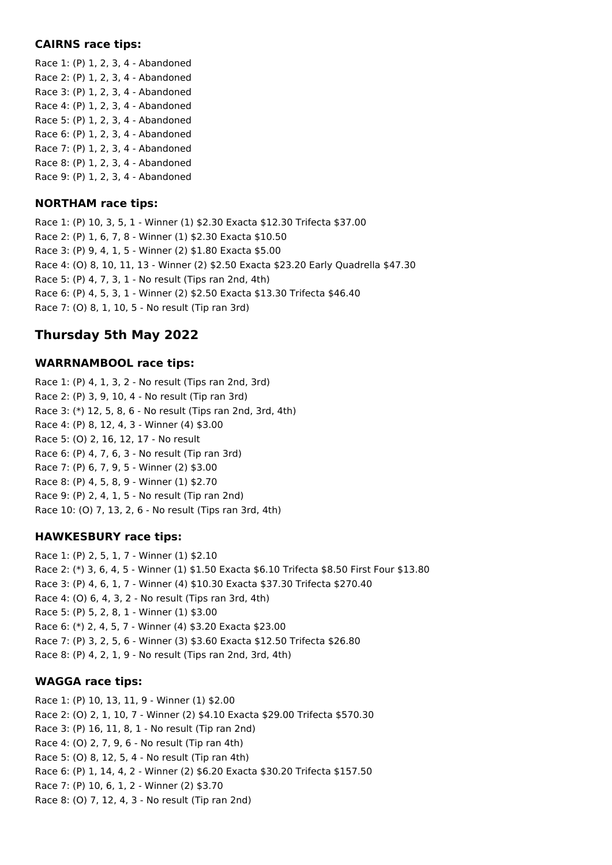### **CAIRNS race tips:**

Race 1: (P) 1, 2, 3, 4 - Abandoned Race 2: (P) 1, 2, 3, 4 - Abandoned Race 3: (P) 1, 2, 3, 4 - Abandoned Race 4: (P) 1, 2, 3, 4 - Abandoned Race 5: (P) 1, 2, 3, 4 - Abandoned Race 6: (P) 1, 2, 3, 4 - Abandoned Race 7: (P) 1, 2, 3, 4 - Abandoned Race 8: (P) 1, 2, 3, 4 - Abandoned Race 9: (P) 1, 2, 3, 4 - Abandoned

## **NORTHAM race tips:**

Race 1: (P) 10, 3, 5, 1 - Winner (1) \$2.30 Exacta \$12.30 Trifecta \$37.00 Race 2: (P) 1, 6, 7, 8 - Winner (1) \$2.30 Exacta \$10.50 Race 3: (P) 9, 4, 1, 5 - Winner (2) \$1.80 Exacta \$5.00 Race 4: (O) 8, 10, 11, 13 - Winner (2) \$2.50 Exacta \$23.20 Early Quadrella \$47.30 Race 5: (P) 4, 7, 3, 1 - No result (Tips ran 2nd, 4th) Race 6: (P) 4, 5, 3, 1 - Winner (2) \$2.50 Exacta \$13.30 Trifecta \$46.40 Race 7: (O) 8, 1, 10, 5 - No result (Tip ran 3rd)

# **Thursday 5th May 2022**

## **WARRNAMBOOL race tips:**

Race 1: (P) 4, 1, 3, 2 - No result (Tips ran 2nd, 3rd) Race 2: (P) 3, 9, 10, 4 - No result (Tip ran 3rd) Race 3: (\*) 12, 5, 8, 6 - No result (Tips ran 2nd, 3rd, 4th) Race 4: (P) 8, 12, 4, 3 - Winner (4) \$3.00 Race 5: (O) 2, 16, 12, 17 - No result Race 6: (P) 4, 7, 6, 3 - No result (Tip ran 3rd) Race 7: (P) 6, 7, 9, 5 - Winner (2) \$3.00 Race 8: (P) 4, 5, 8, 9 - Winner (1) \$2.70 Race 9: (P) 2, 4, 1, 5 - No result (Tip ran 2nd) Race 10: (O) 7, 13, 2, 6 - No result (Tips ran 3rd, 4th)

## **HAWKESBURY race tips:**

Race 1: (P) 2, 5, 1, 7 - Winner (1) \$2.10 Race 2: (\*) 3, 6, 4, 5 - Winner (1) \$1.50 Exacta \$6.10 Trifecta \$8.50 First Four \$13.80 Race 3: (P) 4, 6, 1, 7 - Winner (4) \$10.30 Exacta \$37.30 Trifecta \$270.40 Race 4: (O) 6, 4, 3, 2 - No result (Tips ran 3rd, 4th) Race 5: (P) 5, 2, 8, 1 - Winner (1) \$3.00 Race 6: (\*) 2, 4, 5, 7 - Winner (4) \$3.20 Exacta \$23.00 Race 7: (P) 3, 2, 5, 6 - Winner (3) \$3.60 Exacta \$12.50 Trifecta \$26.80 Race 8: (P) 4, 2, 1, 9 - No result (Tips ran 2nd, 3rd, 4th)

## **WAGGA race tips:**

Race 1: (P) 10, 13, 11, 9 - Winner (1) \$2.00 Race 2: (O) 2, 1, 10, 7 - Winner (2) \$4.10 Exacta \$29.00 Trifecta \$570.30 Race 3: (P) 16, 11, 8, 1 - No result (Tip ran 2nd) Race 4: (O) 2, 7, 9, 6 - No result (Tip ran 4th) Race 5: (O) 8, 12, 5, 4 - No result (Tip ran 4th) Race 6: (P) 1, 14, 4, 2 - Winner (2) \$6.20 Exacta \$30.20 Trifecta \$157.50 Race 7: (P) 10, 6, 1, 2 - Winner (2) \$3.70 Race 8: (O) 7, 12, 4, 3 - No result (Tip ran 2nd)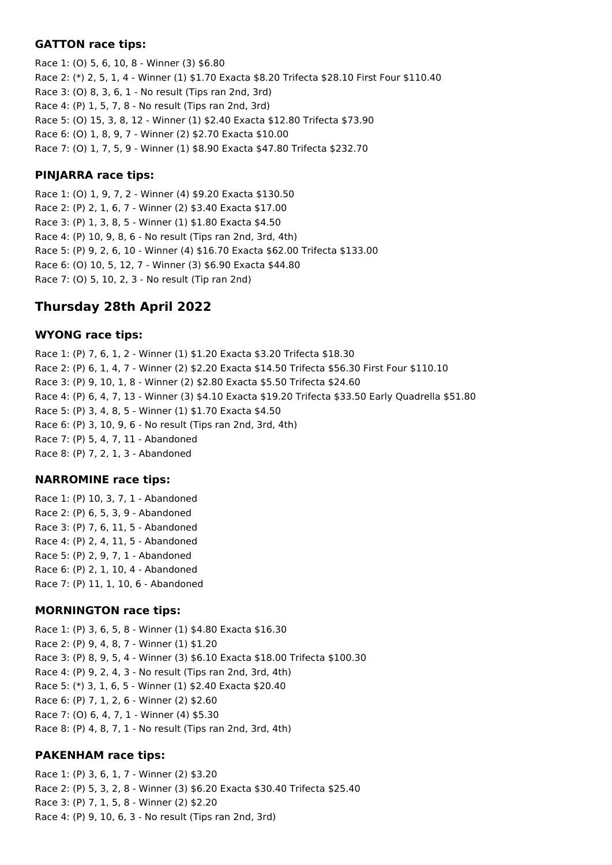### **GATTON race tips:**

Race 1: (O) 5, 6, 10, 8 - Winner (3) \$6.80 Race 2: (\*) 2, 5, 1, 4 - Winner (1) \$1.70 Exacta \$8.20 Trifecta \$28.10 First Four \$110.40 Race 3: (O) 8, 3, 6, 1 - No result (Tips ran 2nd, 3rd) Race 4: (P) 1, 5, 7, 8 - No result (Tips ran 2nd, 3rd) Race 5: (O) 15, 3, 8, 12 - Winner (1) \$2.40 Exacta \$12.80 Trifecta \$73.90 Race 6: (O) 1, 8, 9, 7 - Winner (2) \$2.70 Exacta \$10.00 Race 7: (O) 1, 7, 5, 9 - Winner (1) \$8.90 Exacta \$47.80 Trifecta \$232.70

### **PINJARRA race tips:**

Race 1: (O) 1, 9, 7, 2 - Winner (4) \$9.20 Exacta \$130.50 Race 2: (P) 2, 1, 6, 7 - Winner (2) \$3.40 Exacta \$17.00 Race 3: (P) 1, 3, 8, 5 - Winner (1) \$1.80 Exacta \$4.50 Race 4: (P) 10, 9, 8, 6 - No result (Tips ran 2nd, 3rd, 4th) Race 5: (P) 9, 2, 6, 10 - Winner (4) \$16.70 Exacta \$62.00 Trifecta \$133.00 Race 6: (O) 10, 5, 12, 7 - Winner (3) \$6.90 Exacta \$44.80 Race 7: (O) 5, 10, 2, 3 - No result (Tip ran 2nd)

## **Thursday 28th April 2022**

### **WYONG race tips:**

Race 1: (P) 7, 6, 1, 2 - Winner (1) \$1.20 Exacta \$3.20 Trifecta \$18.30 Race 2: (P) 6, 1, 4, 7 - Winner (2) \$2.20 Exacta \$14.50 Trifecta \$56.30 First Four \$110.10 Race 3: (P) 9, 10, 1, 8 - Winner (2) \$2.80 Exacta \$5.50 Trifecta \$24.60 Race 4: (P) 6, 4, 7, 13 - Winner (3) \$4.10 Exacta \$19.20 Trifecta \$33.50 Early Quadrella \$51.80 Race 5: (P) 3, 4, 8, 5 - Winner (1) \$1.70 Exacta \$4.50 Race 6: (P) 3, 10, 9, 6 - No result (Tips ran 2nd, 3rd, 4th) Race 7: (P) 5, 4, 7, 11 - Abandoned Race 8: (P) 7, 2, 1, 3 - Abandoned

### **NARROMINE race tips:**

Race 1: (P) 10, 3, 7, 1 - Abandoned Race 2: (P) 6, 5, 3, 9 - Abandoned Race 3: (P) 7, 6, 11, 5 - Abandoned Race 4: (P) 2, 4, 11, 5 - Abandoned Race 5: (P) 2, 9, 7, 1 - Abandoned Race 6: (P) 2, 1, 10, 4 - Abandoned Race 7: (P) 11, 1, 10, 6 - Abandoned

### **MORNINGTON race tips:**

Race 1: (P) 3, 6, 5, 8 - Winner (1) \$4.80 Exacta \$16.30 Race 2: (P) 9, 4, 8, 7 - Winner (1) \$1.20 Race 3: (P) 8, 9, 5, 4 - Winner (3) \$6.10 Exacta \$18.00 Trifecta \$100.30 Race 4: (P) 9, 2, 4, 3 - No result (Tips ran 2nd, 3rd, 4th) Race 5: (\*) 3, 1, 6, 5 - Winner (1) \$2.40 Exacta \$20.40 Race 6: (P) 7, 1, 2, 6 - Winner (2) \$2.60 Race 7: (O) 6, 4, 7, 1 - Winner (4) \$5.30 Race 8: (P) 4, 8, 7, 1 - No result (Tips ran 2nd, 3rd, 4th)

### **PAKENHAM race tips:**

Race 1: (P) 3, 6, 1, 7 - Winner (2) \$3.20 Race 2: (P) 5, 3, 2, 8 - Winner (3) \$6.20 Exacta \$30.40 Trifecta \$25.40 Race 3: (P) 7, 1, 5, 8 - Winner (2) \$2.20 Race 4: (P) 9, 10, 6, 3 - No result (Tips ran 2nd, 3rd)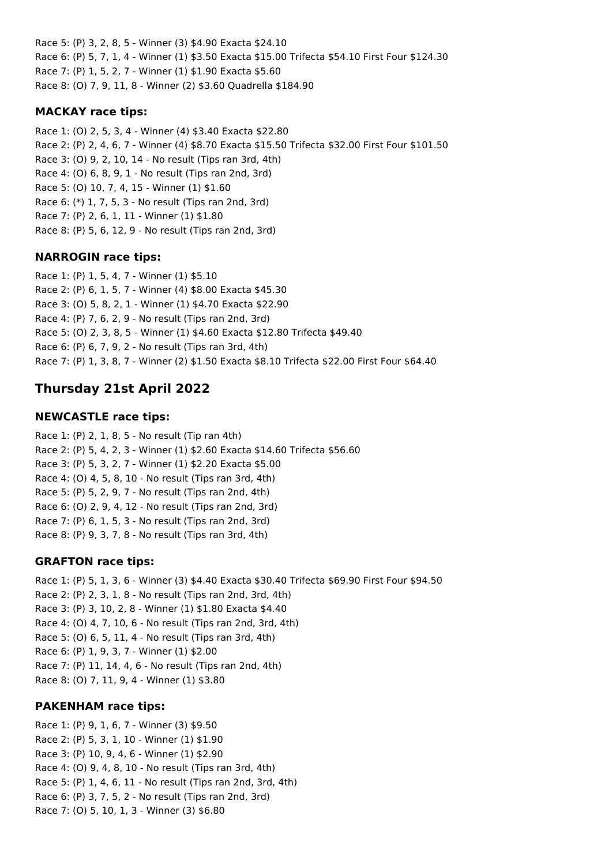Race 5: (P) 3, 2, 8, 5 - Winner (3) \$4.90 Exacta \$24.10 Race 6: (P) 5, 7, 1, 4 - Winner (1) \$3.50 Exacta \$15.00 Trifecta \$54.10 First Four \$124.30 Race 7: (P) 1, 5, 2, 7 - Winner (1) \$1.90 Exacta \$5.60 Race 8: (O) 7, 9, 11, 8 - Winner (2) \$3.60 Quadrella \$184.90

## **MACKAY race tips:**

Race 1: (O) 2, 5, 3, 4 - Winner (4) \$3.40 Exacta \$22.80 Race 2: (P) 2, 4, 6, 7 - Winner (4) \$8.70 Exacta \$15.50 Trifecta \$32.00 First Four \$101.50 Race 3: (O) 9, 2, 10, 14 - No result (Tips ran 3rd, 4th) Race 4: (O) 6, 8, 9, 1 - No result (Tips ran 2nd, 3rd) Race 5: (O) 10, 7, 4, 15 - Winner (1) \$1.60 Race 6: (\*) 1, 7, 5, 3 - No result (Tips ran 2nd, 3rd) Race 7: (P) 2, 6, 1, 11 - Winner (1) \$1.80 Race 8: (P) 5, 6, 12, 9 - No result (Tips ran 2nd, 3rd)

## **NARROGIN race tips:**

Race 1: (P) 1, 5, 4, 7 - Winner (1) \$5.10 Race 2: (P) 6, 1, 5, 7 - Winner (4) \$8.00 Exacta \$45.30 Race 3: (O) 5, 8, 2, 1 - Winner (1) \$4.70 Exacta \$22.90 Race 4: (P) 7, 6, 2, 9 - No result (Tips ran 2nd, 3rd) Race 5: (O) 2, 3, 8, 5 - Winner (1) \$4.60 Exacta \$12.80 Trifecta \$49.40 Race 6: (P) 6, 7, 9, 2 - No result (Tips ran 3rd, 4th) Race 7: (P) 1, 3, 8, 7 - Winner (2) \$1.50 Exacta \$8.10 Trifecta \$22.00 First Four \$64.40

# **Thursday 21st April 2022**

## **NEWCASTLE race tips:**

Race 1: (P) 2, 1, 8, 5 - No result (Tip ran 4th) Race 2: (P) 5, 4, 2, 3 - Winner (1) \$2.60 Exacta \$14.60 Trifecta \$56.60 Race 3: (P) 5, 3, 2, 7 - Winner (1) \$2.20 Exacta \$5.00 Race 4: (O) 4, 5, 8, 10 - No result (Tips ran 3rd, 4th) Race 5: (P) 5, 2, 9, 7 - No result (Tips ran 2nd, 4th) Race 6: (O) 2, 9, 4, 12 - No result (Tips ran 2nd, 3rd) Race 7: (P) 6, 1, 5, 3 - No result (Tips ran 2nd, 3rd) Race 8: (P) 9, 3, 7, 8 - No result (Tips ran 3rd, 4th)

## **GRAFTON race tips:**

Race 1: (P) 5, 1, 3, 6 - Winner (3) \$4.40 Exacta \$30.40 Trifecta \$69.90 First Four \$94.50 Race 2: (P) 2, 3, 1, 8 - No result (Tips ran 2nd, 3rd, 4th) Race 3: (P) 3, 10, 2, 8 - Winner (1) \$1.80 Exacta \$4.40 Race 4: (O) 4, 7, 10, 6 - No result (Tips ran 2nd, 3rd, 4th) Race 5: (O) 6, 5, 11, 4 - No result (Tips ran 3rd, 4th) Race 6: (P) 1, 9, 3, 7 - Winner (1) \$2.00 Race 7: (P) 11, 14, 4, 6 - No result (Tips ran 2nd, 4th) Race 8: (O) 7, 11, 9, 4 - Winner (1) \$3.80

## **PAKENHAM race tips:**

Race 1: (P) 9, 1, 6, 7 - Winner (3) \$9.50 Race 2: (P) 5, 3, 1, 10 - Winner (1) \$1.90 Race 3: (P) 10, 9, 4, 6 - Winner (1) \$2.90 Race 4: (O) 9, 4, 8, 10 - No result (Tips ran 3rd, 4th) Race 5: (P) 1, 4, 6, 11 - No result (Tips ran 2nd, 3rd, 4th) Race 6: (P) 3, 7, 5, 2 - No result (Tips ran 2nd, 3rd) Race 7: (O) 5, 10, 1, 3 - Winner (3) \$6.80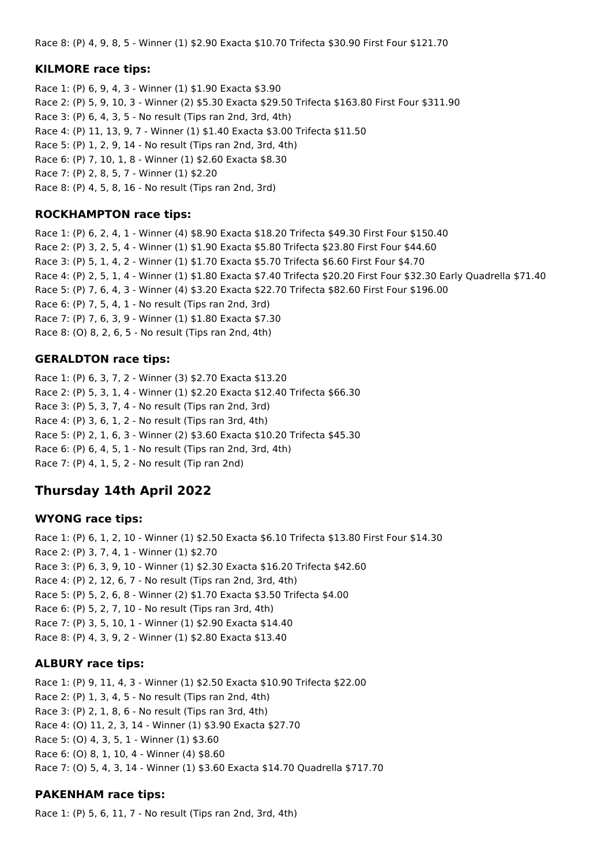Race 8: (P) 4, 9, 8, 5 - Winner (1) \$2.90 Exacta \$10.70 Trifecta \$30.90 First Four \$121.70

### **KILMORE race tips:**

Race 1: (P) 6, 9, 4, 3 - Winner (1) \$1.90 Exacta \$3.90 Race 2: (P) 5, 9, 10, 3 - Winner (2) \$5.30 Exacta \$29.50 Trifecta \$163.80 First Four \$311.90 Race 3: (P) 6, 4, 3, 5 - No result (Tips ran 2nd, 3rd, 4th) Race 4: (P) 11, 13, 9, 7 - Winner (1) \$1.40 Exacta \$3.00 Trifecta \$11.50 Race 5: (P) 1, 2, 9, 14 - No result (Tips ran 2nd, 3rd, 4th) Race 6: (P) 7, 10, 1, 8 - Winner (1) \$2.60 Exacta \$8.30 Race 7: (P) 2, 8, 5, 7 - Winner (1) \$2.20 Race 8: (P) 4, 5, 8, 16 - No result (Tips ran 2nd, 3rd)

### **ROCKHAMPTON race tips:**

Race 1: (P) 6, 2, 4, 1 - Winner (4) \$8.90 Exacta \$18.20 Trifecta \$49.30 First Four \$150.40 Race 2: (P) 3, 2, 5, 4 - Winner (1) \$1.90 Exacta \$5.80 Trifecta \$23.80 First Four \$44.60 Race 3: (P) 5, 1, 4, 2 - Winner (1) \$1.70 Exacta \$5.70 Trifecta \$6.60 First Four \$4.70 Race 4: (P) 2, 5, 1, 4 - Winner (1) \$1.80 Exacta \$7.40 Trifecta \$20.20 First Four \$32.30 Early Quadrella \$71.40 Race 5: (P) 7, 6, 4, 3 - Winner (4) \$3.20 Exacta \$22.70 Trifecta \$82.60 First Four \$196.00 Race 6: (P) 7, 5, 4, 1 - No result (Tips ran 2nd, 3rd) Race 7: (P) 7, 6, 3, 9 - Winner (1) \$1.80 Exacta \$7.30 Race 8: (O) 8, 2, 6, 5 - No result (Tips ran 2nd, 4th)

### **GERALDTON race tips:**

Race 1: (P) 6, 3, 7, 2 - Winner (3) \$2.70 Exacta \$13.20 Race 2: (P) 5, 3, 1, 4 - Winner (1) \$2.20 Exacta \$12.40 Trifecta \$66.30 Race 3: (P) 5, 3, 7, 4 - No result (Tips ran 2nd, 3rd) Race 4: (P) 3, 6, 1, 2 - No result (Tips ran 3rd, 4th) Race 5: (P) 2, 1, 6, 3 - Winner (2) \$3.60 Exacta \$10.20 Trifecta \$45.30 Race 6: (P) 6, 4, 5, 1 - No result (Tips ran 2nd, 3rd, 4th) Race 7: (P) 4, 1, 5, 2 - No result (Tip ran 2nd)

## **Thursday 14th April 2022**

#### **WYONG race tips:**

Race 1: (P) 6, 1, 2, 10 - Winner (1) \$2.50 Exacta \$6.10 Trifecta \$13.80 First Four \$14.30 Race 2: (P) 3, 7, 4, 1 - Winner (1) \$2.70 Race 3: (P) 6, 3, 9, 10 - Winner (1) \$2.30 Exacta \$16.20 Trifecta \$42.60 Race 4: (P) 2, 12, 6, 7 - No result (Tips ran 2nd, 3rd, 4th) Race 5: (P) 5, 2, 6, 8 - Winner (2) \$1.70 Exacta \$3.50 Trifecta \$4.00 Race 6: (P) 5, 2, 7, 10 - No result (Tips ran 3rd, 4th) Race 7: (P) 3, 5, 10, 1 - Winner (1) \$2.90 Exacta \$14.40 Race 8: (P) 4, 3, 9, 2 - Winner (1) \$2.80 Exacta \$13.40

#### **ALBURY race tips:**

Race 1: (P) 9, 11, 4, 3 - Winner (1) \$2.50 Exacta \$10.90 Trifecta \$22.00 Race 2: (P) 1, 3, 4, 5 - No result (Tips ran 2nd, 4th) Race 3: (P) 2, 1, 8, 6 - No result (Tips ran 3rd, 4th) Race 4: (O) 11, 2, 3, 14 - Winner (1) \$3.90 Exacta \$27.70 Race 5: (O) 4, 3, 5, 1 - Winner (1) \$3.60 Race 6: (O) 8, 1, 10, 4 - Winner (4) \$8.60 Race 7: (O) 5, 4, 3, 14 - Winner (1) \$3.60 Exacta \$14.70 Quadrella \$717.70

### **PAKENHAM race tips:**

Race 1: (P) 5, 6, 11, 7 - No result (Tips ran 2nd, 3rd, 4th)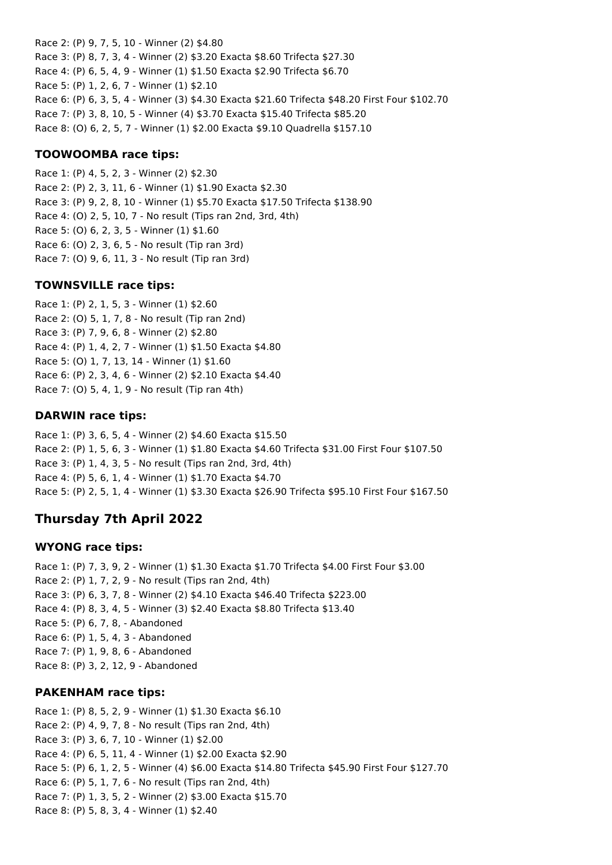Race 2: (P) 9, 7, 5, 10 - Winner (2) \$4.80 Race 3: (P) 8, 7, 3, 4 - Winner (2) \$3.20 Exacta \$8.60 Trifecta \$27.30 Race 4: (P) 6, 5, 4, 9 - Winner (1) \$1.50 Exacta \$2.90 Trifecta \$6.70 Race 5: (P) 1, 2, 6, 7 - Winner (1) \$2.10 Race 6: (P) 6, 3, 5, 4 - Winner (3) \$4.30 Exacta \$21.60 Trifecta \$48.20 First Four \$102.70 Race 7: (P) 3, 8, 10, 5 - Winner (4) \$3.70 Exacta \$15.40 Trifecta \$85.20 Race 8: (O) 6, 2, 5, 7 - Winner (1) \$2.00 Exacta \$9.10 Quadrella \$157.10

### **TOOWOOMBA race tips:**

Race 1: (P) 4, 5, 2, 3 - Winner (2) \$2.30 Race 2: (P) 2, 3, 11, 6 - Winner (1) \$1.90 Exacta \$2.30 Race 3: (P) 9, 2, 8, 10 - Winner (1) \$5.70 Exacta \$17.50 Trifecta \$138.90 Race 4: (O) 2, 5, 10, 7 - No result (Tips ran 2nd, 3rd, 4th) Race 5: (O) 6, 2, 3, 5 - Winner (1) \$1.60 Race 6: (O) 2, 3, 6, 5 - No result (Tip ran 3rd) Race 7: (O) 9, 6, 11, 3 - No result (Tip ran 3rd)

### **TOWNSVILLE race tips:**

Race 1: (P) 2, 1, 5, 3 - Winner (1) \$2.60 Race 2: (O) 5, 1, 7, 8 - No result (Tip ran 2nd) Race 3: (P) 7, 9, 6, 8 - Winner (2) \$2.80 Race 4: (P) 1, 4, 2, 7 - Winner (1) \$1.50 Exacta \$4.80 Race 5: (O) 1, 7, 13, 14 - Winner (1) \$1.60 Race 6: (P) 2, 3, 4, 6 - Winner (2) \$2.10 Exacta \$4.40 Race 7: (O) 5, 4, 1, 9 - No result (Tip ran 4th)

### **DARWIN race tips:**

Race 1: (P) 3, 6, 5, 4 - Winner (2) \$4.60 Exacta \$15.50 Race 2: (P) 1, 5, 6, 3 - Winner (1) \$1.80 Exacta \$4.60 Trifecta \$31.00 First Four \$107.50 Race 3: (P) 1, 4, 3, 5 - No result (Tips ran 2nd, 3rd, 4th) Race 4: (P) 5, 6, 1, 4 - Winner (1) \$1.70 Exacta \$4.70 Race 5: (P) 2, 5, 1, 4 - Winner (1) \$3.30 Exacta \$26.90 Trifecta \$95.10 First Four \$167.50

# **Thursday 7th April 2022**

### **WYONG race tips:**

Race 1: (P) 7, 3, 9, 2 - Winner (1) \$1.30 Exacta \$1.70 Trifecta \$4.00 First Four \$3.00 Race 2: (P) 1, 7, 2, 9 - No result (Tips ran 2nd, 4th) Race 3: (P) 6, 3, 7, 8 - Winner (2) \$4.10 Exacta \$46.40 Trifecta \$223.00 Race 4: (P) 8, 3, 4, 5 - Winner (3) \$2.40 Exacta \$8.80 Trifecta \$13.40 Race 5: (P) 6, 7, 8, - Abandoned Race 6: (P) 1, 5, 4, 3 - Abandoned Race 7: (P) 1, 9, 8, 6 - Abandoned Race 8: (P) 3, 2, 12, 9 - Abandoned

### **PAKENHAM race tips:**

Race 1: (P) 8, 5, 2, 9 - Winner (1) \$1.30 Exacta \$6.10 Race 2: (P) 4, 9, 7, 8 - No result (Tips ran 2nd, 4th) Race 3: (P) 3, 6, 7, 10 - Winner (1) \$2.00 Race 4: (P) 6, 5, 11, 4 - Winner (1) \$2.00 Exacta \$2.90 Race 5: (P) 6, 1, 2, 5 - Winner (4) \$6.00 Exacta \$14.80 Trifecta \$45.90 First Four \$127.70 Race 6: (P) 5, 1, 7, 6 - No result (Tips ran 2nd, 4th) Race 7: (P) 1, 3, 5, 2 - Winner (2) \$3.00 Exacta \$15.70 Race 8: (P) 5, 8, 3, 4 - Winner (1) \$2.40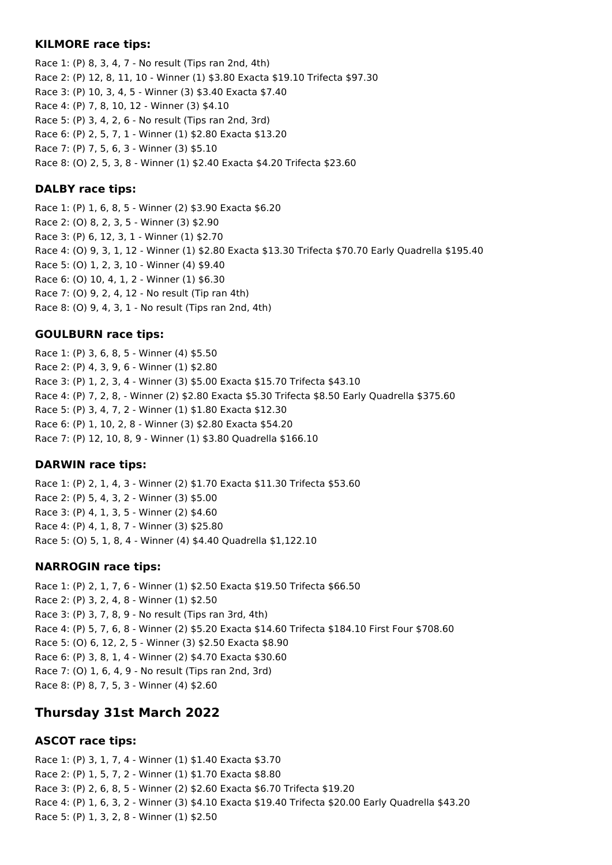#### **KILMORE race tips:**

Race 1: (P) 8, 3, 4, 7 - No result (Tips ran 2nd, 4th) Race 2: (P) 12, 8, 11, 10 - Winner (1) \$3.80 Exacta \$19.10 Trifecta \$97.30 Race 3: (P) 10, 3, 4, 5 - Winner (3) \$3.40 Exacta \$7.40 Race 4: (P) 7, 8, 10, 12 - Winner (3) \$4.10 Race 5: (P) 3, 4, 2, 6 - No result (Tips ran 2nd, 3rd) Race 6: (P) 2, 5, 7, 1 - Winner (1) \$2.80 Exacta \$13.20 Race 7: (P) 7, 5, 6, 3 - Winner (3) \$5.10 Race 8: (O) 2, 5, 3, 8 - Winner (1) \$2.40 Exacta \$4.20 Trifecta \$23.60

### **DALBY race tips:**

Race 1: (P) 1, 6, 8, 5 - Winner (2) \$3.90 Exacta \$6.20 Race 2: (O) 8, 2, 3, 5 - Winner (3) \$2.90 Race 3: (P) 6, 12, 3, 1 - Winner (1) \$2.70 Race 4: (O) 9, 3, 1, 12 - Winner (1) \$2.80 Exacta \$13.30 Trifecta \$70.70 Early Quadrella \$195.40 Race 5: (O) 1, 2, 3, 10 - Winner (4) \$9.40 Race 6: (O) 10, 4, 1, 2 - Winner (1) \$6.30 Race 7: (O) 9, 2, 4, 12 - No result (Tip ran 4th) Race 8: (O) 9, 4, 3, 1 - No result (Tips ran 2nd, 4th)

#### **GOULBURN race tips:**

Race 1: (P) 3, 6, 8, 5 - Winner (4) \$5.50 Race 2: (P) 4, 3, 9, 6 - Winner (1) \$2.80 Race 3: (P) 1, 2, 3, 4 - Winner (3) \$5.00 Exacta \$15.70 Trifecta \$43.10 Race 4: (P) 7, 2, 8, - Winner (2) \$2.80 Exacta \$5.30 Trifecta \$8.50 Early Quadrella \$375.60 Race 5: (P) 3, 4, 7, 2 - Winner (1) \$1.80 Exacta \$12.30 Race 6: (P) 1, 10, 2, 8 - Winner (3) \$2.80 Exacta \$54.20 Race 7: (P) 12, 10, 8, 9 - Winner (1) \$3.80 Quadrella \$166.10

#### **DARWIN race tips:**

Race 1: (P) 2, 1, 4, 3 - Winner (2) \$1.70 Exacta \$11.30 Trifecta \$53.60 Race 2: (P) 5, 4, 3, 2 - Winner (3) \$5.00 Race 3: (P) 4, 1, 3, 5 - Winner (2) \$4.60 Race 4: (P) 4, 1, 8, 7 - Winner (3) \$25.80 Race 5: (O) 5, 1, 8, 4 - Winner (4) \$4.40 Quadrella \$1,122.10

### **NARROGIN race tips:**

Race 1: (P) 2, 1, 7, 6 - Winner (1) \$2.50 Exacta \$19.50 Trifecta \$66.50 Race 2: (P) 3, 2, 4, 8 - Winner (1) \$2.50 Race 3: (P) 3, 7, 8, 9 - No result (Tips ran 3rd, 4th) Race 4: (P) 5, 7, 6, 8 - Winner (2) \$5.20 Exacta \$14.60 Trifecta \$184.10 First Four \$708.60 Race 5: (O) 6, 12, 2, 5 - Winner (3) \$2.50 Exacta \$8.90 Race 6: (P) 3, 8, 1, 4 - Winner (2) \$4.70 Exacta \$30.60 Race 7: (O) 1, 6, 4, 9 - No result (Tips ran 2nd, 3rd) Race 8: (P) 8, 7, 5, 3 - Winner (4) \$2.60

## **Thursday 31st March 2022**

### **ASCOT race tips:**

Race 1: (P) 3, 1, 7, 4 - Winner (1) \$1.40 Exacta \$3.70 Race 2: (P) 1, 5, 7, 2 - Winner (1) \$1.70 Exacta \$8.80 Race 3: (P) 2, 6, 8, 5 - Winner (2) \$2.60 Exacta \$6.70 Trifecta \$19.20 Race 4: (P) 1, 6, 3, 2 - Winner (3) \$4.10 Exacta \$19.40 Trifecta \$20.00 Early Quadrella \$43.20 Race 5: (P) 1, 3, 2, 8 - Winner (1) \$2.50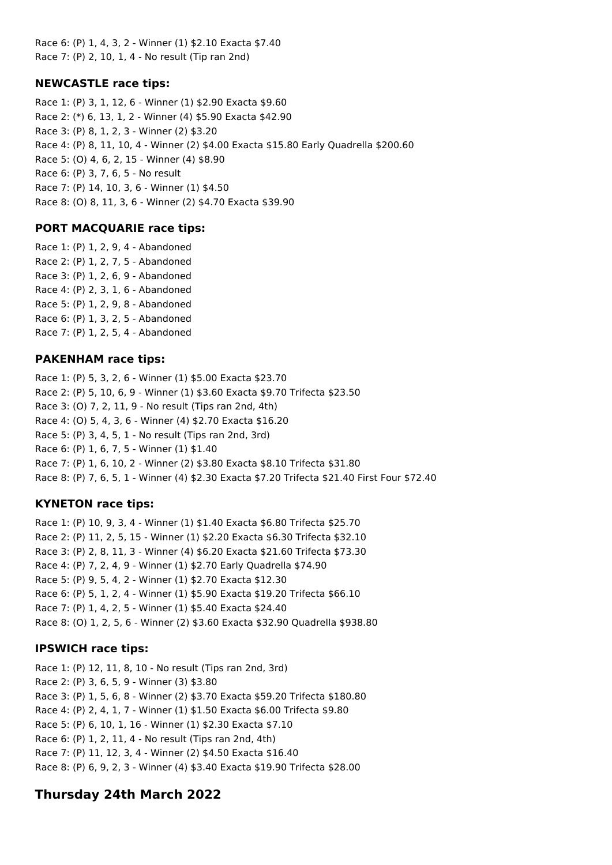Race 6: (P) 1, 4, 3, 2 - Winner (1) \$2.10 Exacta \$7.40 Race 7: (P) 2, 10, 1, 4 - No result (Tip ran 2nd)

## **NEWCASTLE race tips:**

Race 1: (P) 3, 1, 12, 6 - Winner (1) \$2.90 Exacta \$9.60 Race 2: (\*) 6, 13, 1, 2 - Winner (4) \$5.90 Exacta \$42.90 Race 3: (P) 8, 1, 2, 3 - Winner (2) \$3.20 Race 4: (P) 8, 11, 10, 4 - Winner (2) \$4.00 Exacta \$15.80 Early Quadrella \$200.60 Race 5: (O) 4, 6, 2, 15 - Winner (4) \$8.90 Race 6: (P) 3, 7, 6, 5 - No result Race 7: (P) 14, 10, 3, 6 - Winner (1) \$4.50 Race 8: (O) 8, 11, 3, 6 - Winner (2) \$4.70 Exacta \$39.90

### **PORT MACQUARIE race tips:**

Race 1: (P) 1, 2, 9, 4 - Abandoned Race 2: (P) 1, 2, 7, 5 - Abandoned Race 3: (P) 1, 2, 6, 9 - Abandoned Race 4: (P) 2, 3, 1, 6 - Abandoned Race 5: (P) 1, 2, 9, 8 - Abandoned Race 6: (P) 1, 3, 2, 5 - Abandoned Race 7: (P) 1, 2, 5, 4 - Abandoned

#### **PAKENHAM race tips:**

Race 1: (P) 5, 3, 2, 6 - Winner (1) \$5.00 Exacta \$23.70 Race 2: (P) 5, 10, 6, 9 - Winner (1) \$3.60 Exacta \$9.70 Trifecta \$23.50 Race 3: (O) 7, 2, 11, 9 - No result (Tips ran 2nd, 4th) Race 4: (O) 5, 4, 3, 6 - Winner (4) \$2.70 Exacta \$16.20 Race 5: (P) 3, 4, 5, 1 - No result (Tips ran 2nd, 3rd) Race 6: (P) 1, 6, 7, 5 - Winner (1) \$1.40 Race 7: (P) 1, 6, 10, 2 - Winner (2) \$3.80 Exacta \$8.10 Trifecta \$31.80 Race 8: (P) 7, 6, 5, 1 - Winner (4) \$2.30 Exacta \$7.20 Trifecta \$21.40 First Four \$72.40

### **KYNETON race tips:**

Race 1: (P) 10, 9, 3, 4 - Winner (1) \$1.40 Exacta \$6.80 Trifecta \$25.70 Race 2: (P) 11, 2, 5, 15 - Winner (1) \$2.20 Exacta \$6.30 Trifecta \$32.10 Race 3: (P) 2, 8, 11, 3 - Winner (4) \$6.20 Exacta \$21.60 Trifecta \$73.30 Race 4: (P) 7, 2, 4, 9 - Winner (1) \$2.70 Early Quadrella \$74.90 Race 5: (P) 9, 5, 4, 2 - Winner (1) \$2.70 Exacta \$12.30 Race 6: (P) 5, 1, 2, 4 - Winner (1) \$5.90 Exacta \$19.20 Trifecta \$66.10 Race 7: (P) 1, 4, 2, 5 - Winner (1) \$5.40 Exacta \$24.40 Race 8: (O) 1, 2, 5, 6 - Winner (2) \$3.60 Exacta \$32.90 Quadrella \$938.80

### **IPSWICH race tips:**

Race 1: (P) 12, 11, 8, 10 - No result (Tips ran 2nd, 3rd) Race 2: (P) 3, 6, 5, 9 - Winner (3) \$3.80 Race 3: (P) 1, 5, 6, 8 - Winner (2) \$3.70 Exacta \$59.20 Trifecta \$180.80 Race 4: (P) 2, 4, 1, 7 - Winner (1) \$1.50 Exacta \$6.00 Trifecta \$9.80 Race 5: (P) 6, 10, 1, 16 - Winner (1) \$2.30 Exacta \$7.10 Race 6: (P) 1, 2, 11, 4 - No result (Tips ran 2nd, 4th) Race 7: (P) 11, 12, 3, 4 - Winner (2) \$4.50 Exacta \$16.40 Race 8: (P) 6, 9, 2, 3 - Winner (4) \$3.40 Exacta \$19.90 Trifecta \$28.00

## **Thursday 24th March 2022**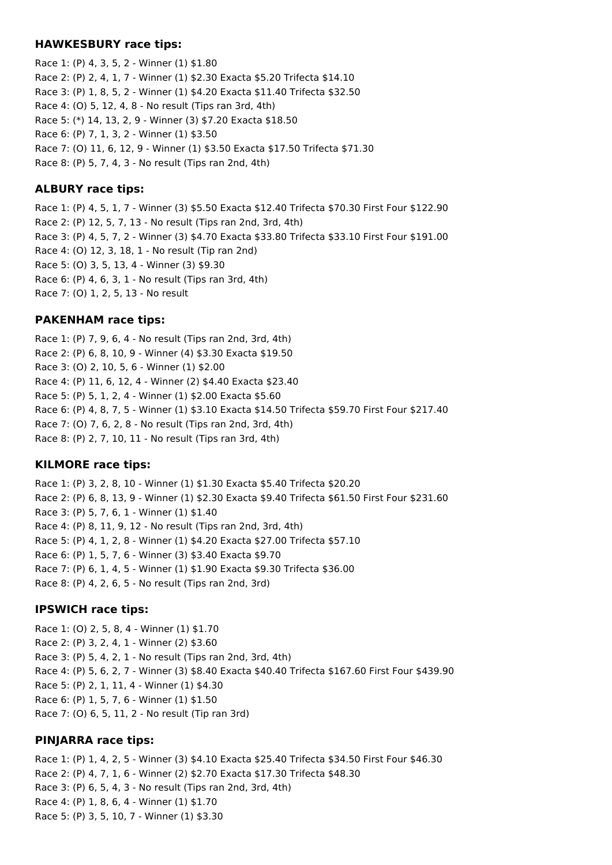#### **HAWKESBURY race tips:**

Race 1: (P) 4, 3, 5, 2 - Winner (1) \$1.80 Race 2: (P) 2, 4, 1, 7 - Winner (1) \$2.30 Exacta \$5.20 Trifecta \$14.10 Race 3: (P) 1, 8, 5, 2 - Winner (1) \$4.20 Exacta \$11.40 Trifecta \$32.50 Race 4: (O) 5, 12, 4, 8 - No result (Tips ran 3rd, 4th) Race 5: (\*) 14, 13, 2, 9 - Winner (3) \$7.20 Exacta \$18.50 Race 6: (P) 7, 1, 3, 2 - Winner (1) \$3.50 Race 7: (O) 11, 6, 12, 9 - Winner (1) \$3.50 Exacta \$17.50 Trifecta \$71.30 Race 8: (P) 5, 7, 4, 3 - No result (Tips ran 2nd, 4th)

### **ALBURY race tips:**

Race 1: (P) 4, 5, 1, 7 - Winner (3) \$5.50 Exacta \$12.40 Trifecta \$70.30 First Four \$122.90 Race 2: (P) 12, 5, 7, 13 - No result (Tips ran 2nd, 3rd, 4th) Race 3: (P) 4, 5, 7, 2 - Winner (3) \$4.70 Exacta \$33.80 Trifecta \$33.10 First Four \$191.00 Race 4: (O) 12, 3, 18, 1 - No result (Tip ran 2nd) Race 5: (O) 3, 5, 13, 4 - Winner (3) \$9.30 Race 6: (P) 4, 6, 3, 1 - No result (Tips ran 3rd, 4th) Race 7: (O) 1, 2, 5, 13 - No result

#### **PAKENHAM race tips:**

Race 1: (P) 7, 9, 6, 4 - No result (Tips ran 2nd, 3rd, 4th) Race 2: (P) 6, 8, 10, 9 - Winner (4) \$3.30 Exacta \$19.50 Race 3: (O) 2, 10, 5, 6 - Winner (1) \$2.00 Race 4: (P) 11, 6, 12, 4 - Winner (2) \$4.40 Exacta \$23.40 Race 5: (P) 5, 1, 2, 4 - Winner (1) \$2.00 Exacta \$5.60 Race 6: (P) 4, 8, 7, 5 - Winner (1) \$3.10 Exacta \$14.50 Trifecta \$59.70 First Four \$217.40 Race 7: (O) 7, 6, 2, 8 - No result (Tips ran 2nd, 3rd, 4th) Race 8: (P) 2, 7, 10, 11 - No result (Tips ran 3rd, 4th)

#### **KILMORE race tips:**

Race 1: (P) 3, 2, 8, 10 - Winner (1) \$1.30 Exacta \$5.40 Trifecta \$20.20 Race 2: (P) 6, 8, 13, 9 - Winner (1) \$2.30 Exacta \$9.40 Trifecta \$61.50 First Four \$231.60 Race 3: (P) 5, 7, 6, 1 - Winner (1) \$1.40 Race 4: (P) 8, 11, 9, 12 - No result (Tips ran 2nd, 3rd, 4th) Race 5: (P) 4, 1, 2, 8 - Winner (1) \$4.20 Exacta \$27.00 Trifecta \$57.10 Race 6: (P) 1, 5, 7, 6 - Winner (3) \$3.40 Exacta \$9.70 Race 7: (P) 6, 1, 4, 5 - Winner (1) \$1.90 Exacta \$9.30 Trifecta \$36.00 Race 8: (P) 4, 2, 6, 5 - No result (Tips ran 2nd, 3rd)

#### **IPSWICH race tips:**

Race 1: (O) 2, 5, 8, 4 - Winner (1) \$1.70 Race 2: (P) 3, 2, 4, 1 - Winner (2) \$3.60 Race 3: (P) 5, 4, 2, 1 - No result (Tips ran 2nd, 3rd, 4th) Race 4: (P) 5, 6, 2, 7 - Winner (3) \$8.40 Exacta \$40.40 Trifecta \$167.60 First Four \$439.90 Race 5: (P) 2, 1, 11, 4 - Winner (1) \$4.30 Race 6: (P) 1, 5, 7, 6 - Winner (1) \$1.50 Race 7: (O) 6, 5, 11, 2 - No result (Tip ran 3rd)

#### **PINJARRA race tips:**

Race 1: (P) 1, 4, 2, 5 - Winner (3) \$4.10 Exacta \$25.40 Trifecta \$34.50 First Four \$46.30 Race 2: (P) 4, 7, 1, 6 - Winner (2) \$2.70 Exacta \$17.30 Trifecta \$48.30 Race 3: (P) 6, 5, 4, 3 - No result (Tips ran 2nd, 3rd, 4th) Race 4: (P) 1, 8, 6, 4 - Winner (1) \$1.70 Race 5: (P) 3, 5, 10, 7 - Winner (1) \$3.30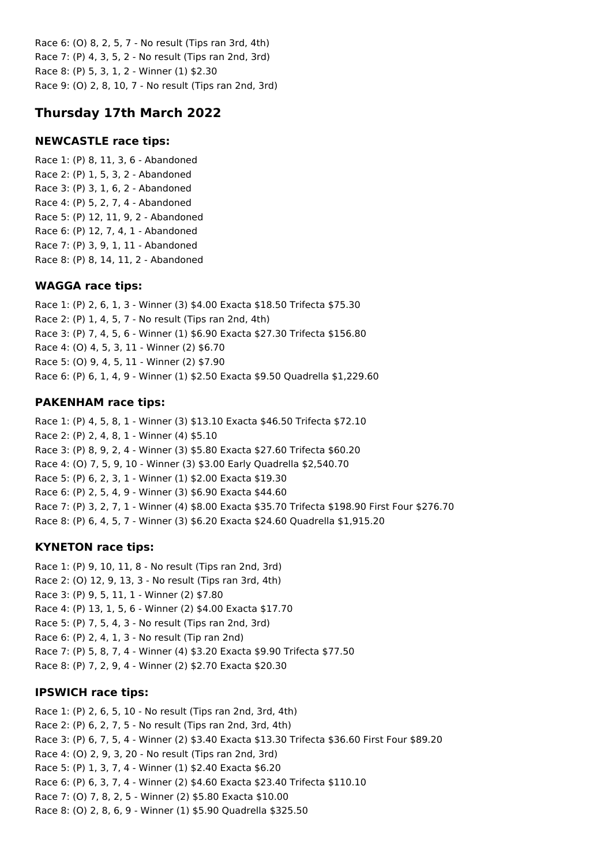Race 6: (O) 8, 2, 5, 7 - No result (Tips ran 3rd, 4th) Race 7: (P) 4, 3, 5, 2 - No result (Tips ran 2nd, 3rd) Race 8: (P) 5, 3, 1, 2 - Winner (1) \$2.30 Race 9: (O) 2, 8, 10, 7 - No result (Tips ran 2nd, 3rd)

## **Thursday 17th March 2022**

### **NEWCASTLE race tips:**

Race 1: (P) 8, 11, 3, 6 - Abandoned Race 2: (P) 1, 5, 3, 2 - Abandoned Race 3: (P) 3, 1, 6, 2 - Abandoned Race 4: (P) 5, 2, 7, 4 - Abandoned Race 5: (P) 12, 11, 9, 2 - Abandoned Race 6: (P) 12, 7, 4, 1 - Abandoned Race 7: (P) 3, 9, 1, 11 - Abandoned Race 8: (P) 8, 14, 11, 2 - Abandoned

### **WAGGA race tips:**

Race 1: (P) 2, 6, 1, 3 - Winner (3) \$4.00 Exacta \$18.50 Trifecta \$75.30 Race 2: (P) 1, 4, 5, 7 - No result (Tips ran 2nd, 4th) Race 3: (P) 7, 4, 5, 6 - Winner (1) \$6.90 Exacta \$27.30 Trifecta \$156.80 Race 4: (O) 4, 5, 3, 11 - Winner (2) \$6.70 Race 5: (O) 9, 4, 5, 11 - Winner (2) \$7.90 Race 6: (P) 6, 1, 4, 9 - Winner (1) \$2.50 Exacta \$9.50 Quadrella \$1,229.60

### **PAKENHAM race tips:**

Race 1: (P) 4, 5, 8, 1 - Winner (3) \$13.10 Exacta \$46.50 Trifecta \$72.10 Race 2: (P) 2, 4, 8, 1 - Winner (4) \$5.10 Race 3: (P) 8, 9, 2, 4 - Winner (3) \$5.80 Exacta \$27.60 Trifecta \$60.20 Race 4: (O) 7, 5, 9, 10 - Winner (3) \$3.00 Early Quadrella \$2,540.70 Race 5: (P) 6, 2, 3, 1 - Winner (1) \$2.00 Exacta \$19.30 Race 6: (P) 2, 5, 4, 9 - Winner (3) \$6.90 Exacta \$44.60 Race 7: (P) 3, 2, 7, 1 - Winner (4) \$8.00 Exacta \$35.70 Trifecta \$198.90 First Four \$276.70 Race 8: (P) 6, 4, 5, 7 - Winner (3) \$6.20 Exacta \$24.60 Quadrella \$1,915.20

## **KYNETON race tips:**

Race 1: (P) 9, 10, 11, 8 - No result (Tips ran 2nd, 3rd) Race 2: (O) 12, 9, 13, 3 - No result (Tips ran 3rd, 4th) Race 3: (P) 9, 5, 11, 1 - Winner (2) \$7.80 Race 4: (P) 13, 1, 5, 6 - Winner (2) \$4.00 Exacta \$17.70 Race 5: (P) 7, 5, 4, 3 - No result (Tips ran 2nd, 3rd) Race 6: (P) 2, 4, 1, 3 - No result (Tip ran 2nd) Race 7: (P) 5, 8, 7, 4 - Winner (4) \$3.20 Exacta \$9.90 Trifecta \$77.50 Race 8: (P) 7, 2, 9, 4 - Winner (2) \$2.70 Exacta \$20.30

### **IPSWICH race tips:**

Race 1: (P) 2, 6, 5, 10 - No result (Tips ran 2nd, 3rd, 4th) Race 2: (P) 6, 2, 7, 5 - No result (Tips ran 2nd, 3rd, 4th) Race 3: (P) 6, 7, 5, 4 - Winner (2) \$3.40 Exacta \$13.30 Trifecta \$36.60 First Four \$89.20 Race 4: (O) 2, 9, 3, 20 - No result (Tips ran 2nd, 3rd) Race 5: (P) 1, 3, 7, 4 - Winner (1) \$2.40 Exacta \$6.20 Race 6: (P) 6, 3, 7, 4 - Winner (2) \$4.60 Exacta \$23.40 Trifecta \$110.10 Race 7: (O) 7, 8, 2, 5 - Winner (2) \$5.80 Exacta \$10.00 Race 8: (O) 2, 8, 6, 9 - Winner (1) \$5.90 Quadrella \$325.50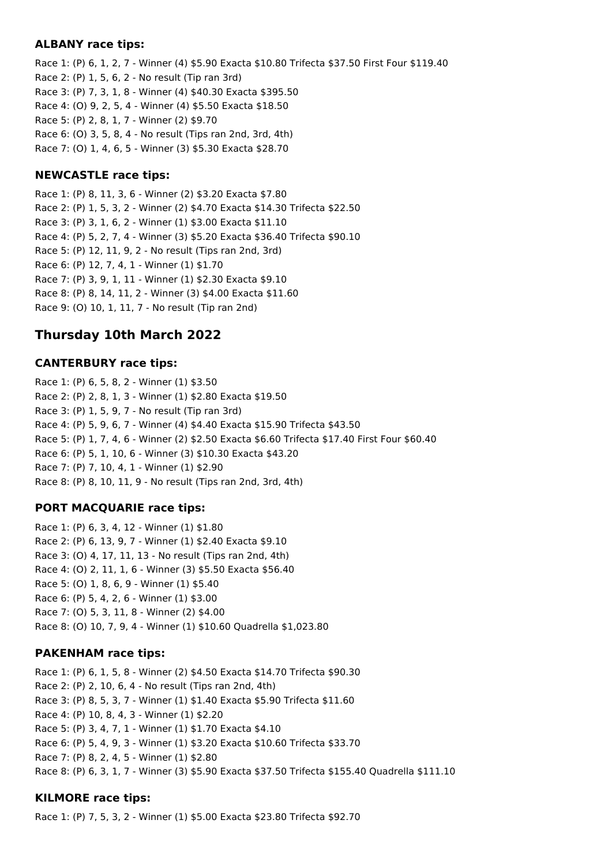### **ALBANY race tips:**

Race 1: (P) 6, 1, 2, 7 - Winner (4) \$5.90 Exacta \$10.80 Trifecta \$37.50 First Four \$119.40 Race 2: (P) 1, 5, 6, 2 - No result (Tip ran 3rd) Race 3: (P) 7, 3, 1, 8 - Winner (4) \$40.30 Exacta \$395.50 Race 4: (O) 9, 2, 5, 4 - Winner (4) \$5.50 Exacta \$18.50 Race 5: (P) 2, 8, 1, 7 - Winner (2) \$9.70 Race 6: (O) 3, 5, 8, 4 - No result (Tips ran 2nd, 3rd, 4th) Race 7: (O) 1, 4, 6, 5 - Winner (3) \$5.30 Exacta \$28.70

### **NEWCASTLE race tips:**

Race 1: (P) 8, 11, 3, 6 - Winner (2) \$3.20 Exacta \$7.80 Race 2: (P) 1, 5, 3, 2 - Winner (2) \$4.70 Exacta \$14.30 Trifecta \$22.50 Race 3: (P) 3, 1, 6, 2 - Winner (1) \$3.00 Exacta \$11.10 Race 4: (P) 5, 2, 7, 4 - Winner (3) \$5.20 Exacta \$36.40 Trifecta \$90.10 Race 5: (P) 12, 11, 9, 2 - No result (Tips ran 2nd, 3rd) Race 6: (P) 12, 7, 4, 1 - Winner (1) \$1.70 Race 7: (P) 3, 9, 1, 11 - Winner (1) \$2.30 Exacta \$9.10 Race 8: (P) 8, 14, 11, 2 - Winner (3) \$4.00 Exacta \$11.60 Race 9: (O) 10, 1, 11, 7 - No result (Tip ran 2nd)

## **Thursday 10th March 2022**

### **CANTERBURY race tips:**

Race 1: (P) 6, 5, 8, 2 - Winner (1) \$3.50 Race 2: (P) 2, 8, 1, 3 - Winner (1) \$2.80 Exacta \$19.50 Race 3: (P) 1, 5, 9, 7 - No result (Tip ran 3rd) Race 4: (P) 5, 9, 6, 7 - Winner (4) \$4.40 Exacta \$15.90 Trifecta \$43.50 Race 5: (P) 1, 7, 4, 6 - Winner (2) \$2.50 Exacta \$6.60 Trifecta \$17.40 First Four \$60.40 Race 6: (P) 5, 1, 10, 6 - Winner (3) \$10.30 Exacta \$43.20 Race 7: (P) 7, 10, 4, 1 - Winner (1) \$2.90 Race 8: (P) 8, 10, 11, 9 - No result (Tips ran 2nd, 3rd, 4th)

### **PORT MACQUARIE race tips:**

Race 1: (P) 6, 3, 4, 12 - Winner (1) \$1.80 Race 2: (P) 6, 13, 9, 7 - Winner (1) \$2.40 Exacta \$9.10 Race 3: (O) 4, 17, 11, 13 - No result (Tips ran 2nd, 4th) Race 4: (O) 2, 11, 1, 6 - Winner (3) \$5.50 Exacta \$56.40 Race 5: (O) 1, 8, 6, 9 - Winner (1) \$5.40 Race 6: (P) 5, 4, 2, 6 - Winner (1) \$3.00 Race 7: (O) 5, 3, 11, 8 - Winner (2) \$4.00 Race 8: (O) 10, 7, 9, 4 - Winner (1) \$10.60 Quadrella \$1,023.80

### **PAKENHAM race tips:**

Race 1: (P) 6, 1, 5, 8 - Winner (2) \$4.50 Exacta \$14.70 Trifecta \$90.30 Race 2: (P) 2, 10, 6, 4 - No result (Tips ran 2nd, 4th) Race 3: (P) 8, 5, 3, 7 - Winner (1) \$1.40 Exacta \$5.90 Trifecta \$11.60 Race 4: (P) 10, 8, 4, 3 - Winner (1) \$2.20 Race 5: (P) 3, 4, 7, 1 - Winner (1) \$1.70 Exacta \$4.10 Race 6: (P) 5, 4, 9, 3 - Winner (1) \$3.20 Exacta \$10.60 Trifecta \$33.70 Race 7: (P) 8, 2, 4, 5 - Winner (1) \$2.80 Race 8: (P) 6, 3, 1, 7 - Winner (3) \$5.90 Exacta \$37.50 Trifecta \$155.40 Quadrella \$111.10

### **KILMORE race tips:**

Race 1: (P) 7, 5, 3, 2 - Winner (1) \$5.00 Exacta \$23.80 Trifecta \$92.70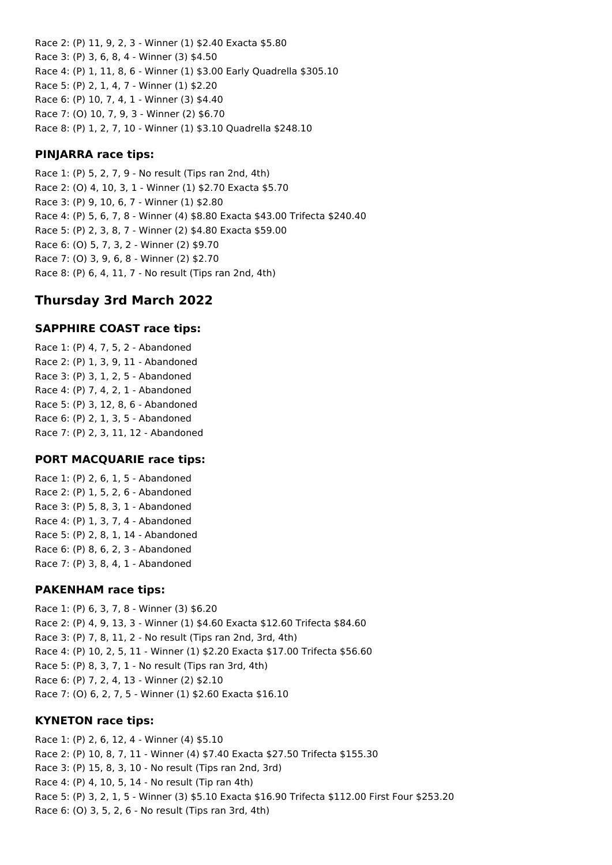Race 2: (P) 11, 9, 2, 3 - Winner (1) \$2.40 Exacta \$5.80 Race 3: (P) 3, 6, 8, 4 - Winner (3) \$4.50 Race 4: (P) 1, 11, 8, 6 - Winner (1) \$3.00 Early Quadrella \$305.10 Race 5: (P) 2, 1, 4, 7 - Winner (1) \$2.20 Race 6: (P) 10, 7, 4, 1 - Winner (3) \$4.40 Race 7: (O) 10, 7, 9, 3 - Winner (2) \$6.70 Race 8: (P) 1, 2, 7, 10 - Winner (1) \$3.10 Quadrella \$248.10

## **PINJARRA race tips:**

Race 1: (P) 5, 2, 7, 9 - No result (Tips ran 2nd, 4th) Race 2: (O) 4, 10, 3, 1 - Winner (1) \$2.70 Exacta \$5.70 Race 3: (P) 9, 10, 6, 7 - Winner (1) \$2.80 Race 4: (P) 5, 6, 7, 8 - Winner (4) \$8.80 Exacta \$43.00 Trifecta \$240.40 Race 5: (P) 2, 3, 8, 7 - Winner (2) \$4.80 Exacta \$59.00 Race 6: (O) 5, 7, 3, 2 - Winner (2) \$9.70 Race 7: (O) 3, 9, 6, 8 - Winner (2) \$2.70 Race 8: (P) 6, 4, 11, 7 - No result (Tips ran 2nd, 4th)

# **Thursday 3rd March 2022**

## **SAPPHIRE COAST race tips:**

Race 1: (P) 4, 7, 5, 2 - Abandoned Race 2: (P) 1, 3, 9, 11 - Abandoned Race 3: (P) 3, 1, 2, 5 - Abandoned Race 4: (P) 7, 4, 2, 1 - Abandoned Race 5: (P) 3, 12, 8, 6 - Abandoned Race 6: (P) 2, 1, 3, 5 - Abandoned Race 7: (P) 2, 3, 11, 12 - Abandoned

## **PORT MACQUARIE race tips:**

Race 1: (P) 2, 6, 1, 5 - Abandoned Race 2: (P) 1, 5, 2, 6 - Abandoned Race 3: (P) 5, 8, 3, 1 - Abandoned Race 4: (P) 1, 3, 7, 4 - Abandoned Race 5: (P) 2, 8, 1, 14 - Abandoned Race 6: (P) 8, 6, 2, 3 - Abandoned Race 7: (P) 3, 8, 4, 1 - Abandoned

## **PAKENHAM race tips:**

Race 1: (P) 6, 3, 7, 8 - Winner (3) \$6.20 Race 2: (P) 4, 9, 13, 3 - Winner (1) \$4.60 Exacta \$12.60 Trifecta \$84.60 Race 3: (P) 7, 8, 11, 2 - No result (Tips ran 2nd, 3rd, 4th) Race 4: (P) 10, 2, 5, 11 - Winner (1) \$2.20 Exacta \$17.00 Trifecta \$56.60 Race 5: (P) 8, 3, 7, 1 - No result (Tips ran 3rd, 4th) Race 6: (P) 7, 2, 4, 13 - Winner (2) \$2.10 Race 7: (O) 6, 2, 7, 5 - Winner (1) \$2.60 Exacta \$16.10

## **KYNETON race tips:**

Race 1: (P) 2, 6, 12, 4 - Winner (4) \$5.10 Race 2: (P) 10, 8, 7, 11 - Winner (4) \$7.40 Exacta \$27.50 Trifecta \$155.30 Race 3: (P) 15, 8, 3, 10 - No result (Tips ran 2nd, 3rd) Race 4: (P) 4, 10, 5, 14 - No result (Tip ran 4th) Race 5: (P) 3, 2, 1, 5 - Winner (3) \$5.10 Exacta \$16.90 Trifecta \$112.00 First Four \$253.20 Race 6: (O) 3, 5, 2, 6 - No result (Tips ran 3rd, 4th)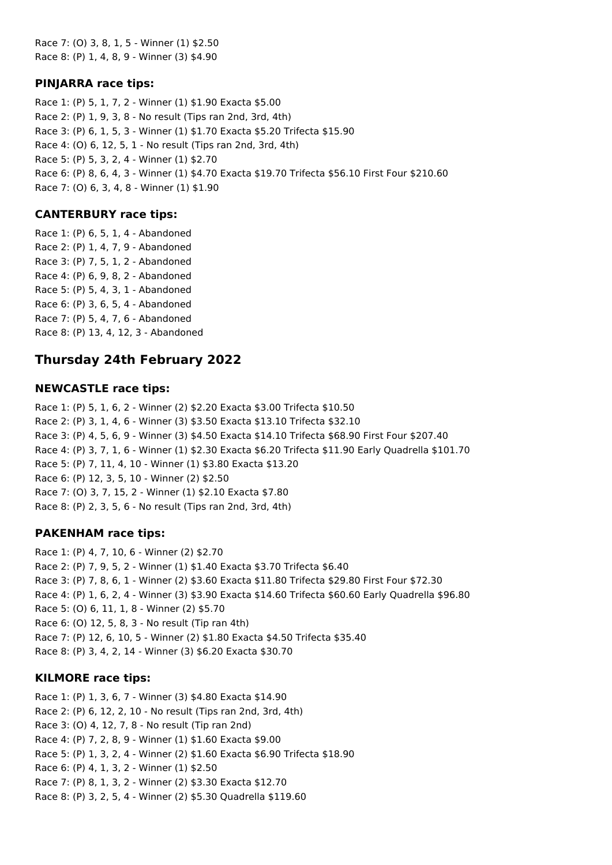Race 7: (O) 3, 8, 1, 5 - Winner (1) \$2.50 Race 8: (P) 1, 4, 8, 9 - Winner (3) \$4.90

### **PINJARRA race tips:**

Race 1: (P) 5, 1, 7, 2 - Winner (1) \$1.90 Exacta \$5.00 Race 2: (P) 1, 9, 3, 8 - No result (Tips ran 2nd, 3rd, 4th) Race 3: (P) 6, 1, 5, 3 - Winner (1) \$1.70 Exacta \$5.20 Trifecta \$15.90 Race 4: (O) 6, 12, 5, 1 - No result (Tips ran 2nd, 3rd, 4th) Race 5: (P) 5, 3, 2, 4 - Winner (1) \$2.70 Race 6: (P) 8, 6, 4, 3 - Winner (1) \$4.70 Exacta \$19.70 Trifecta \$56.10 First Four \$210.60 Race 7: (O) 6, 3, 4, 8 - Winner (1) \$1.90

### **CANTERBURY race tips:**

Race 1: (P) 6, 5, 1, 4 - Abandoned Race 2: (P) 1, 4, 7, 9 - Abandoned Race 3: (P) 7, 5, 1, 2 - Abandoned Race 4: (P) 6, 9, 8, 2 - Abandoned Race 5: (P) 5, 4, 3, 1 - Abandoned Race 6: (P) 3, 6, 5, 4 - Abandoned Race 7: (P) 5, 4, 7, 6 - Abandoned Race 8: (P) 13, 4, 12, 3 - Abandoned

## **Thursday 24th February 2022**

### **NEWCASTLE race tips:**

Race 1: (P) 5, 1, 6, 2 - Winner (2) \$2.20 Exacta \$3.00 Trifecta \$10.50 Race 2: (P) 3, 1, 4, 6 - Winner (3) \$3.50 Exacta \$13.10 Trifecta \$32.10 Race 3: (P) 4, 5, 6, 9 - Winner (3) \$4.50 Exacta \$14.10 Trifecta \$68.90 First Four \$207.40 Race 4: (P) 3, 7, 1, 6 - Winner (1) \$2.30 Exacta \$6.20 Trifecta \$11.90 Early Quadrella \$101.70 Race 5: (P) 7, 11, 4, 10 - Winner (1) \$3.80 Exacta \$13.20 Race 6: (P) 12, 3, 5, 10 - Winner (2) \$2.50 Race 7: (O) 3, 7, 15, 2 - Winner (1) \$2.10 Exacta \$7.80 Race 8: (P) 2, 3, 5, 6 - No result (Tips ran 2nd, 3rd, 4th)

### **PAKENHAM race tips:**

Race 1: (P) 4, 7, 10, 6 - Winner (2) \$2.70 Race 2: (P) 7, 9, 5, 2 - Winner (1) \$1.40 Exacta \$3.70 Trifecta \$6.40 Race 3: (P) 7, 8, 6, 1 - Winner (2) \$3.60 Exacta \$11.80 Trifecta \$29.80 First Four \$72.30 Race 4: (P) 1, 6, 2, 4 - Winner (3) \$3.90 Exacta \$14.60 Trifecta \$60.60 Early Quadrella \$96.80 Race 5: (O) 6, 11, 1, 8 - Winner (2) \$5.70 Race 6: (O) 12, 5, 8, 3 - No result (Tip ran 4th) Race 7: (P) 12, 6, 10, 5 - Winner (2) \$1.80 Exacta \$4.50 Trifecta \$35.40 Race 8: (P) 3, 4, 2, 14 - Winner (3) \$6.20 Exacta \$30.70

### **KILMORE race tips:**

Race 1: (P) 1, 3, 6, 7 - Winner (3) \$4.80 Exacta \$14.90 Race 2: (P) 6, 12, 2, 10 - No result (Tips ran 2nd, 3rd, 4th) Race 3: (O) 4, 12, 7, 8 - No result (Tip ran 2nd) Race 4: (P) 7, 2, 8, 9 - Winner (1) \$1.60 Exacta \$9.00 Race 5: (P) 1, 3, 2, 4 - Winner (2) \$1.60 Exacta \$6.90 Trifecta \$18.90 Race 6: (P) 4, 1, 3, 2 - Winner (1) \$2.50 Race 7: (P) 8, 1, 3, 2 - Winner (2) \$3.30 Exacta \$12.70 Race 8: (P) 3, 2, 5, 4 - Winner (2) \$5.30 Quadrella \$119.60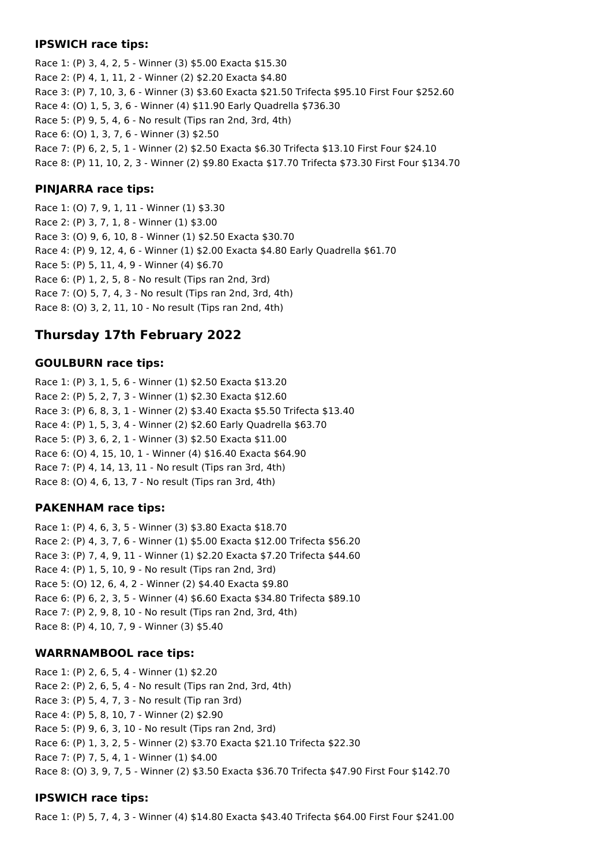### **IPSWICH race tips:**

Race 1: (P) 3, 4, 2, 5 - Winner (3) \$5.00 Exacta \$15.30 Race 2: (P) 4, 1, 11, 2 - Winner (2) \$2.20 Exacta \$4.80 Race 3: (P) 7, 10, 3, 6 - Winner (3) \$3.60 Exacta \$21.50 Trifecta \$95.10 First Four \$252.60 Race 4: (O) 1, 5, 3, 6 - Winner (4) \$11.90 Early Quadrella \$736.30 Race 5: (P) 9, 5, 4, 6 - No result (Tips ran 2nd, 3rd, 4th) Race 6: (O) 1, 3, 7, 6 - Winner (3) \$2.50 Race 7: (P) 6, 2, 5, 1 - Winner (2) \$2.50 Exacta \$6.30 Trifecta \$13.10 First Four \$24.10 Race 8: (P) 11, 10, 2, 3 - Winner (2) \$9.80 Exacta \$17.70 Trifecta \$73.30 First Four \$134.70

## **PINJARRA race tips:**

Race 1: (O) 7, 9, 1, 11 - Winner (1) \$3.30 Race 2: (P) 3, 7, 1, 8 - Winner (1) \$3.00 Race 3: (O) 9, 6, 10, 8 - Winner (1) \$2.50 Exacta \$30.70 Race 4: (P) 9, 12, 4, 6 - Winner (1) \$2.00 Exacta \$4.80 Early Quadrella \$61.70 Race 5: (P) 5, 11, 4, 9 - Winner (4) \$6.70 Race 6: (P) 1, 2, 5, 8 - No result (Tips ran 2nd, 3rd) Race 7: (O) 5, 7, 4, 3 - No result (Tips ran 2nd, 3rd, 4th) Race 8: (O) 3, 2, 11, 10 - No result (Tips ran 2nd, 4th)

# **Thursday 17th February 2022**

### **GOULBURN race tips:**

Race 1: (P) 3, 1, 5, 6 - Winner (1) \$2.50 Exacta \$13.20 Race 2: (P) 5, 2, 7, 3 - Winner (1) \$2.30 Exacta \$12.60 Race 3: (P) 6, 8, 3, 1 - Winner (2) \$3.40 Exacta \$5.50 Trifecta \$13.40 Race 4: (P) 1, 5, 3, 4 - Winner (2) \$2.60 Early Quadrella \$63.70 Race 5: (P) 3, 6, 2, 1 - Winner (3) \$2.50 Exacta \$11.00 Race 6: (O) 4, 15, 10, 1 - Winner (4) \$16.40 Exacta \$64.90 Race 7: (P) 4, 14, 13, 11 - No result (Tips ran 3rd, 4th) Race 8: (O) 4, 6, 13, 7 - No result (Tips ran 3rd, 4th)

### **PAKENHAM race tips:**

Race 1: (P) 4, 6, 3, 5 - Winner (3) \$3.80 Exacta \$18.70 Race 2: (P) 4, 3, 7, 6 - Winner (1) \$5.00 Exacta \$12.00 Trifecta \$56.20 Race 3: (P) 7, 4, 9, 11 - Winner (1) \$2.20 Exacta \$7.20 Trifecta \$44.60 Race 4: (P) 1, 5, 10, 9 - No result (Tips ran 2nd, 3rd) Race 5: (O) 12, 6, 4, 2 - Winner (2) \$4.40 Exacta \$9.80 Race 6: (P) 6, 2, 3, 5 - Winner (4) \$6.60 Exacta \$34.80 Trifecta \$89.10 Race 7: (P) 2, 9, 8, 10 - No result (Tips ran 2nd, 3rd, 4th) Race 8: (P) 4, 10, 7, 9 - Winner (3) \$5.40

### **WARRNAMBOOL race tips:**

Race 1: (P) 2, 6, 5, 4 - Winner (1) \$2.20 Race 2: (P) 2, 6, 5, 4 - No result (Tips ran 2nd, 3rd, 4th) Race 3: (P) 5, 4, 7, 3 - No result (Tip ran 3rd) Race 4: (P) 5, 8, 10, 7 - Winner (2) \$2.90 Race 5: (P) 9, 6, 3, 10 - No result (Tips ran 2nd, 3rd) Race 6: (P) 1, 3, 2, 5 - Winner (2) \$3.70 Exacta \$21.10 Trifecta \$22.30 Race 7: (P) 7, 5, 4, 1 - Winner (1) \$4.00 Race 8: (O) 3, 9, 7, 5 - Winner (2) \$3.50 Exacta \$36.70 Trifecta \$47.90 First Four \$142.70

## **IPSWICH race tips:**

Race 1: (P) 5, 7, 4, 3 - Winner (4) \$14.80 Exacta \$43.40 Trifecta \$64.00 First Four \$241.00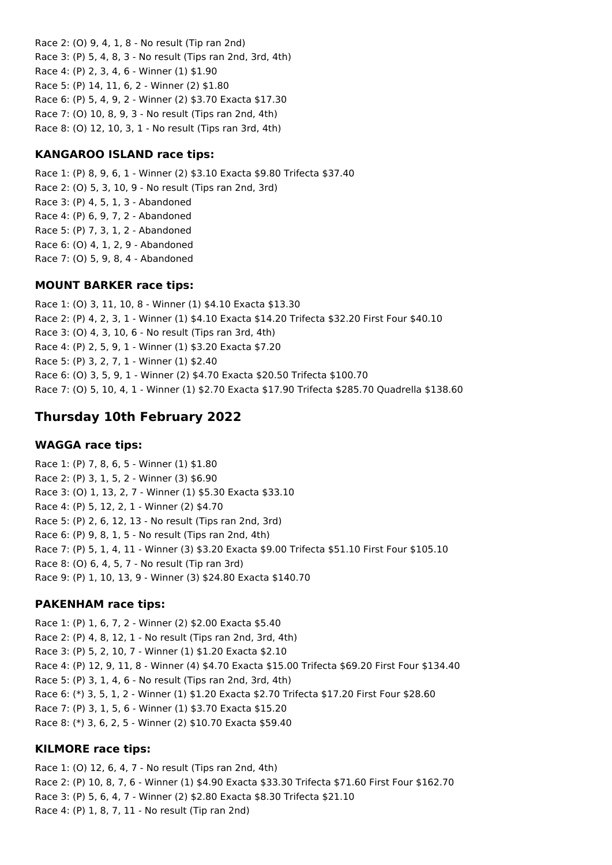Race 2: (O) 9, 4, 1, 8 - No result (Tip ran 2nd) Race 3: (P) 5, 4, 8, 3 - No result (Tips ran 2nd, 3rd, 4th) Race 4: (P) 2, 3, 4, 6 - Winner (1) \$1.90 Race 5: (P) 14, 11, 6, 2 - Winner (2) \$1.80 Race 6: (P) 5, 4, 9, 2 - Winner (2) \$3.70 Exacta \$17.30 Race 7: (O) 10, 8, 9, 3 - No result (Tips ran 2nd, 4th) Race 8: (O) 12, 10, 3, 1 - No result (Tips ran 3rd, 4th)

## **KANGAROO ISLAND race tips:**

Race 1: (P) 8, 9, 6, 1 - Winner (2) \$3.10 Exacta \$9.80 Trifecta \$37.40 Race 2: (O) 5, 3, 10, 9 - No result (Tips ran 2nd, 3rd) Race 3: (P) 4, 5, 1, 3 - Abandoned Race 4: (P) 6, 9, 7, 2 - Abandoned Race 5: (P) 7, 3, 1, 2 - Abandoned Race 6: (O) 4, 1, 2, 9 - Abandoned Race 7: (O) 5, 9, 8, 4 - Abandoned

### **MOUNT BARKER race tips:**

Race 1: (O) 3, 11, 10, 8 - Winner (1) \$4.10 Exacta \$13.30 Race 2: (P) 4, 2, 3, 1 - Winner (1) \$4.10 Exacta \$14.20 Trifecta \$32.20 First Four \$40.10 Race 3: (O) 4, 3, 10, 6 - No result (Tips ran 3rd, 4th) Race 4: (P) 2, 5, 9, 1 - Winner (1) \$3.20 Exacta \$7.20 Race 5: (P) 3, 2, 7, 1 - Winner (1) \$2.40 Race 6: (O) 3, 5, 9, 1 - Winner (2) \$4.70 Exacta \$20.50 Trifecta \$100.70 Race 7: (O) 5, 10, 4, 1 - Winner (1) \$2.70 Exacta \$17.90 Trifecta \$285.70 Quadrella \$138.60

# **Thursday 10th February 2022**

### **WAGGA race tips:**

Race 1: (P) 7, 8, 6, 5 - Winner (1) \$1.80 Race 2: (P) 3, 1, 5, 2 - Winner (3) \$6.90 Race 3: (O) 1, 13, 2, 7 - Winner (1) \$5.30 Exacta \$33.10 Race 4: (P) 5, 12, 2, 1 - Winner (2) \$4.70 Race 5: (P) 2, 6, 12, 13 - No result (Tips ran 2nd, 3rd) Race 6: (P) 9, 8, 1, 5 - No result (Tips ran 2nd, 4th) Race 7: (P) 5, 1, 4, 11 - Winner (3) \$3.20 Exacta \$9.00 Trifecta \$51.10 First Four \$105.10 Race 8: (O) 6, 4, 5, 7 - No result (Tip ran 3rd) Race 9: (P) 1, 10, 13, 9 - Winner (3) \$24.80 Exacta \$140.70

### **PAKENHAM race tips:**

Race 1: (P) 1, 6, 7, 2 - Winner (2) \$2.00 Exacta \$5.40 Race 2: (P) 4, 8, 12, 1 - No result (Tips ran 2nd, 3rd, 4th) Race 3: (P) 5, 2, 10, 7 - Winner (1) \$1.20 Exacta \$2.10 Race 4: (P) 12, 9, 11, 8 - Winner (4) \$4.70 Exacta \$15.00 Trifecta \$69.20 First Four \$134.40 Race 5: (P) 3, 1, 4, 6 - No result (Tips ran 2nd, 3rd, 4th) Race 6: (\*) 3, 5, 1, 2 - Winner (1) \$1.20 Exacta \$2.70 Trifecta \$17.20 First Four \$28.60 Race 7: (P) 3, 1, 5, 6 - Winner (1) \$3.70 Exacta \$15.20 Race 8: (\*) 3, 6, 2, 5 - Winner (2) \$10.70 Exacta \$59.40

### **KILMORE race tips:**

Race 1: (O) 12, 6, 4, 7 - No result (Tips ran 2nd, 4th) Race 2: (P) 10, 8, 7, 6 - Winner (1) \$4.90 Exacta \$33.30 Trifecta \$71.60 First Four \$162.70 Race 3: (P) 5, 6, 4, 7 - Winner (2) \$2.80 Exacta \$8.30 Trifecta \$21.10 Race 4: (P) 1, 8, 7, 11 - No result (Tip ran 2nd)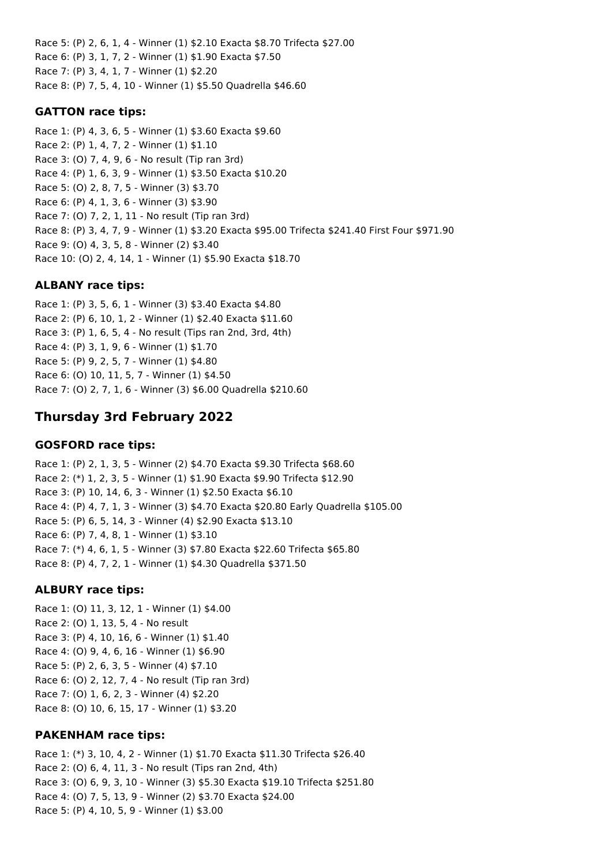Race 5: (P) 2, 6, 1, 4 - Winner (1) \$2.10 Exacta \$8.70 Trifecta \$27.00 Race 6: (P) 3, 1, 7, 2 - Winner (1) \$1.90 Exacta \$7.50 Race 7: (P) 3, 4, 1, 7 - Winner (1) \$2.20 Race 8: (P) 7, 5, 4, 10 - Winner (1) \$5.50 Quadrella \$46.60

### **GATTON race tips:**

Race 1: (P) 4, 3, 6, 5 - Winner (1) \$3.60 Exacta \$9.60 Race 2: (P) 1, 4, 7, 2 - Winner (1) \$1.10 Race 3: (O) 7, 4, 9, 6 - No result (Tip ran 3rd) Race 4: (P) 1, 6, 3, 9 - Winner (1) \$3.50 Exacta \$10.20 Race 5: (O) 2, 8, 7, 5 - Winner (3) \$3.70 Race 6: (P) 4, 1, 3, 6 - Winner (3) \$3.90 Race 7: (O) 7, 2, 1, 11 - No result (Tip ran 3rd) Race 8: (P) 3, 4, 7, 9 - Winner (1) \$3.20 Exacta \$95.00 Trifecta \$241.40 First Four \$971.90 Race 9: (O) 4, 3, 5, 8 - Winner (2) \$3.40 Race 10: (O) 2, 4, 14, 1 - Winner (1) \$5.90 Exacta \$18.70

## **ALBANY race tips:**

Race 1: (P) 3, 5, 6, 1 - Winner (3) \$3.40 Exacta \$4.80 Race 2: (P) 6, 10, 1, 2 - Winner (1) \$2.40 Exacta \$11.60 Race 3: (P) 1, 6, 5, 4 - No result (Tips ran 2nd, 3rd, 4th) Race 4: (P) 3, 1, 9, 6 - Winner (1) \$1.70 Race 5: (P) 9, 2, 5, 7 - Winner (1) \$4.80 Race 6: (O) 10, 11, 5, 7 - Winner (1) \$4.50 Race 7: (O) 2, 7, 1, 6 - Winner (3) \$6.00 Quadrella \$210.60

# **Thursday 3rd February 2022**

## **GOSFORD race tips:**

Race 1: (P) 2, 1, 3, 5 - Winner (2) \$4.70 Exacta \$9.30 Trifecta \$68.60 Race 2: (\*) 1, 2, 3, 5 - Winner (1) \$1.90 Exacta \$9.90 Trifecta \$12.90 Race 3: (P) 10, 14, 6, 3 - Winner (1) \$2.50 Exacta \$6.10 Race 4: (P) 4, 7, 1, 3 - Winner (3) \$4.70 Exacta \$20.80 Early Quadrella \$105.00 Race 5: (P) 6, 5, 14, 3 - Winner (4) \$2.90 Exacta \$13.10 Race 6: (P) 7, 4, 8, 1 - Winner (1) \$3.10 Race 7: (\*) 4, 6, 1, 5 - Winner (3) \$7.80 Exacta \$22.60 Trifecta \$65.80 Race 8: (P) 4, 7, 2, 1 - Winner (1) \$4.30 Quadrella \$371.50

## **ALBURY race tips:**

Race 1: (O) 11, 3, 12, 1 - Winner (1) \$4.00 Race 2: (O) 1, 13, 5, 4 - No result Race 3: (P) 4, 10, 16, 6 - Winner (1) \$1.40 Race 4: (O) 9, 4, 6, 16 - Winner (1) \$6.90 Race 5: (P) 2, 6, 3, 5 - Winner (4) \$7.10 Race 6: (O) 2, 12, 7, 4 - No result (Tip ran 3rd) Race 7: (O) 1, 6, 2, 3 - Winner (4) \$2.20 Race 8: (O) 10, 6, 15, 17 - Winner (1) \$3.20

## **PAKENHAM race tips:**

Race 1: (\*) 3, 10, 4, 2 - Winner (1) \$1.70 Exacta \$11.30 Trifecta \$26.40 Race 2: (O) 6, 4, 11, 3 - No result (Tips ran 2nd, 4th) Race 3: (O) 6, 9, 3, 10 - Winner (3) \$5.30 Exacta \$19.10 Trifecta \$251.80 Race 4: (O) 7, 5, 13, 9 - Winner (2) \$3.70 Exacta \$24.00 Race 5: (P) 4, 10, 5, 9 - Winner (1) \$3.00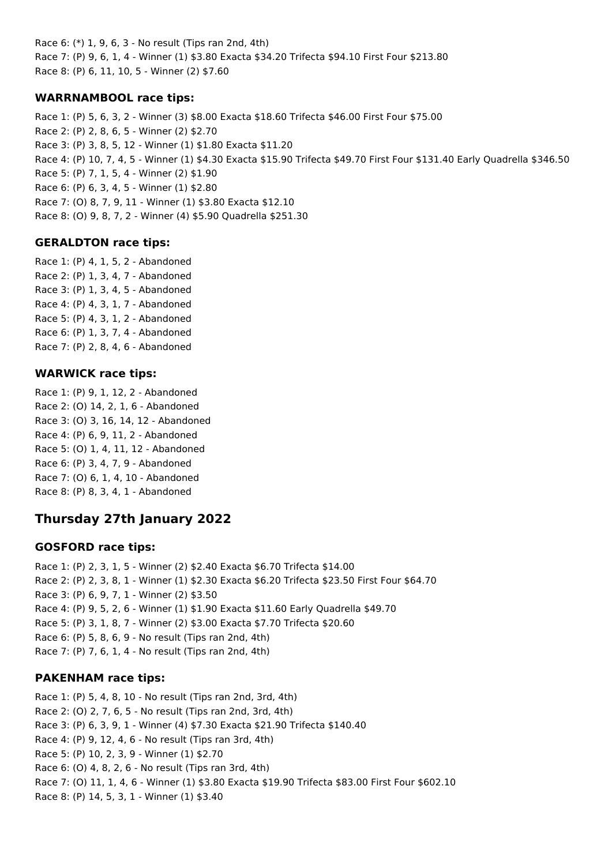Race 6: (\*) 1, 9, 6, 3 - No result (Tips ran 2nd, 4th) Race 7: (P) 9, 6, 1, 4 - Winner (1) \$3.80 Exacta \$34.20 Trifecta \$94.10 First Four \$213.80 Race 8: (P) 6, 11, 10, 5 - Winner (2) \$7.60

## **WARRNAMBOOL race tips:**

Race 1: (P) 5, 6, 3, 2 - Winner (3) \$8.00 Exacta \$18.60 Trifecta \$46.00 First Four \$75.00 Race 2: (P) 2, 8, 6, 5 - Winner (2) \$2.70 Race 3: (P) 3, 8, 5, 12 - Winner (1) \$1.80 Exacta \$11.20 Race 4: (P) 10, 7, 4, 5 - Winner (1) \$4.30 Exacta \$15.90 Trifecta \$49.70 First Four \$131.40 Early Quadrella \$346.50 Race 5: (P) 7, 1, 5, 4 - Winner (2) \$1.90 Race 6: (P) 6, 3, 4, 5 - Winner (1) \$2.80 Race 7: (O) 8, 7, 9, 11 - Winner (1) \$3.80 Exacta \$12.10 Race 8: (O) 9, 8, 7, 2 - Winner (4) \$5.90 Quadrella \$251.30

## **GERALDTON race tips:**

Race 1: (P) 4, 1, 5, 2 - Abandoned Race 2: (P) 1, 3, 4, 7 - Abandoned Race 3: (P) 1, 3, 4, 5 - Abandoned Race 4: (P) 4, 3, 1, 7 - Abandoned Race 5: (P) 4, 3, 1, 2 - Abandoned Race 6: (P) 1, 3, 7, 4 - Abandoned Race 7: (P) 2, 8, 4, 6 - Abandoned

## **WARWICK race tips:**

Race 1: (P) 9, 1, 12, 2 - Abandoned Race 2: (O) 14, 2, 1, 6 - Abandoned Race 3: (O) 3, 16, 14, 12 - Abandoned Race 4: (P) 6, 9, 11, 2 - Abandoned Race 5: (O) 1, 4, 11, 12 - Abandoned Race 6: (P) 3, 4, 7, 9 - Abandoned Race 7: (O) 6, 1, 4, 10 - Abandoned Race 8: (P) 8, 3, 4, 1 - Abandoned

# **Thursday 27th January 2022**

## **GOSFORD race tips:**

Race 1: (P) 2, 3, 1, 5 - Winner (2) \$2.40 Exacta \$6.70 Trifecta \$14.00 Race 2: (P) 2, 3, 8, 1 - Winner (1) \$2.30 Exacta \$6.20 Trifecta \$23.50 First Four \$64.70 Race 3: (P) 6, 9, 7, 1 - Winner (2) \$3.50 Race 4: (P) 9, 5, 2, 6 - Winner (1) \$1.90 Exacta \$11.60 Early Quadrella \$49.70 Race 5: (P) 3, 1, 8, 7 - Winner (2) \$3.00 Exacta \$7.70 Trifecta \$20.60 Race 6: (P) 5, 8, 6, 9 - No result (Tips ran 2nd, 4th) Race 7: (P) 7, 6, 1, 4 - No result (Tips ran 2nd, 4th)

## **PAKENHAM race tips:**

Race 1: (P) 5, 4, 8, 10 - No result (Tips ran 2nd, 3rd, 4th) Race 2: (O) 2, 7, 6, 5 - No result (Tips ran 2nd, 3rd, 4th) Race 3: (P) 6, 3, 9, 1 - Winner (4) \$7.30 Exacta \$21.90 Trifecta \$140.40 Race 4: (P) 9, 12, 4, 6 - No result (Tips ran 3rd, 4th) Race 5: (P) 10, 2, 3, 9 - Winner (1) \$2.70 Race 6: (O) 4, 8, 2, 6 - No result (Tips ran 3rd, 4th) Race 7: (O) 11, 1, 4, 6 - Winner (1) \$3.80 Exacta \$19.90 Trifecta \$83.00 First Four \$602.10 Race 8: (P) 14, 5, 3, 1 - Winner (1) \$3.40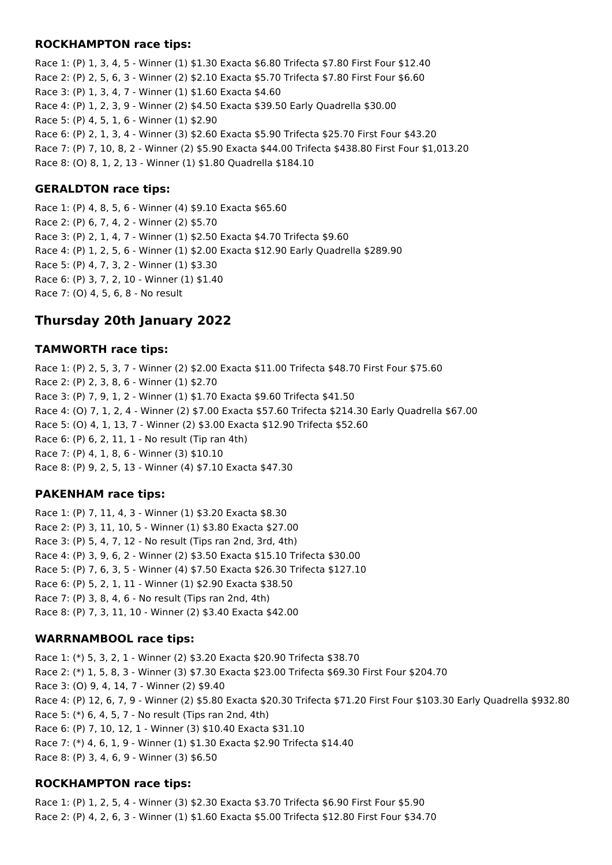### **ROCKHAMPTON race tips:**

Race 1: (P) 1, 3, 4, 5 - Winner (1) \$1.30 Exacta \$6.80 Trifecta \$7.80 First Four \$12.40 Race 2: (P) 2, 5, 6, 3 - Winner (2) \$2.10 Exacta \$5.70 Trifecta \$7.80 First Four \$6.60 Race 3: (P) 1, 3, 4, 7 - Winner (1) \$1.60 Exacta \$4.60 Race 4: (P) 1, 2, 3, 9 - Winner (2) \$4.50 Exacta \$39.50 Early Quadrella \$30.00 Race 5: (P) 4, 5, 1, 6 - Winner (1) \$2.90 Race 6: (P) 2, 1, 3, 4 - Winner (3) \$2.60 Exacta \$5.90 Trifecta \$25.70 First Four \$43.20 Race 7: (P) 7, 10, 8, 2 - Winner (2) \$5.90 Exacta \$44.00 Trifecta \$438.80 First Four \$1,013.20 Race 8: (O) 8, 1, 2, 13 - Winner (1) \$1.80 Quadrella \$184.10

#### **GERALDTON race tips:**

Race 1: (P) 4, 8, 5, 6 - Winner (4) \$9.10 Exacta \$65.60 Race 2: (P) 6, 7, 4, 2 - Winner (2) \$5.70 Race 3: (P) 2, 1, 4, 7 - Winner (1) \$2.50 Exacta \$4.70 Trifecta \$9.60 Race 4: (P) 1, 2, 5, 6 - Winner (1) \$2.00 Exacta \$12.90 Early Quadrella \$289.90 Race 5: (P) 4, 7, 3, 2 - Winner (1) \$3.30 Race 6: (P) 3, 7, 2, 10 - Winner (1) \$1.40 Race 7: (O) 4, 5, 6, 8 - No result

## **Thursday 20th January 2022**

#### **TAMWORTH race tips:**

Race 1: (P) 2, 5, 3, 7 - Winner (2) \$2.00 Exacta \$11.00 Trifecta \$48.70 First Four \$75.60 Race 2: (P) 2, 3, 8, 6 - Winner (1) \$2.70 Race 3: (P) 7, 9, 1, 2 - Winner (1) \$1.70 Exacta \$9.60 Trifecta \$41.50 Race 4: (O) 7, 1, 2, 4 - Winner (2) \$7.00 Exacta \$57.60 Trifecta \$214.30 Early Quadrella \$67.00 Race 5: (O) 4, 1, 13, 7 - Winner (2) \$3.00 Exacta \$12.90 Trifecta \$52.60 Race 6: (P) 6, 2, 11, 1 - No result (Tip ran 4th) Race 7: (P) 4, 1, 8, 6 - Winner (3) \$10.10 Race 8: (P) 9, 2, 5, 13 - Winner (4) \$7.10 Exacta \$47.30

### **PAKENHAM race tips:**

Race 1: (P) 7, 11, 4, 3 - Winner (1) \$3.20 Exacta \$8.30 Race 2: (P) 3, 11, 10, 5 - Winner (1) \$3.80 Exacta \$27.00 Race 3: (P) 5, 4, 7, 12 - No result (Tips ran 2nd, 3rd, 4th) Race 4: (P) 3, 9, 6, 2 - Winner (2) \$3.50 Exacta \$15.10 Trifecta \$30.00 Race 5: (P) 7, 6, 3, 5 - Winner (4) \$7.50 Exacta \$26.30 Trifecta \$127.10 Race 6: (P) 5, 2, 1, 11 - Winner (1) \$2.90 Exacta \$38.50 Race 7: (P) 3, 8, 4, 6 - No result (Tips ran 2nd, 4th) Race 8: (P) 7, 3, 11, 10 - Winner (2) \$3.40 Exacta \$42.00

#### **WARRNAMBOOL race tips:**

Race 1: (\*) 5, 3, 2, 1 - Winner (2) \$3.20 Exacta \$20.90 Trifecta \$38.70 Race 2: (\*) 1, 5, 8, 3 - Winner (3) \$7.30 Exacta \$23.00 Trifecta \$69.30 First Four \$204.70 Race 3: (O) 9, 4, 14, 7 - Winner (2) \$9.40 Race 4: (P) 12, 6, 7, 9 - Winner (2) \$5.80 Exacta \$20.30 Trifecta \$71.20 First Four \$103.30 Early Quadrella \$932.80 Race 5: (\*) 6, 4, 5, 7 - No result (Tips ran 2nd, 4th) Race 6: (P) 7, 10, 12, 1 - Winner (3) \$10.40 Exacta \$31.10 Race 7: (\*) 4, 6, 1, 9 - Winner (1) \$1.30 Exacta \$2.90 Trifecta \$14.40 Race 8: (P) 3, 4, 6, 9 - Winner (3) \$6.50

### **ROCKHAMPTON race tips:**

Race 1: (P) 1, 2, 5, 4 - Winner (3) \$2.30 Exacta \$3.70 Trifecta \$6.90 First Four \$5.90 Race 2: (P) 4, 2, 6, 3 - Winner (1) \$1.60 Exacta \$5.00 Trifecta \$12.80 First Four \$34.70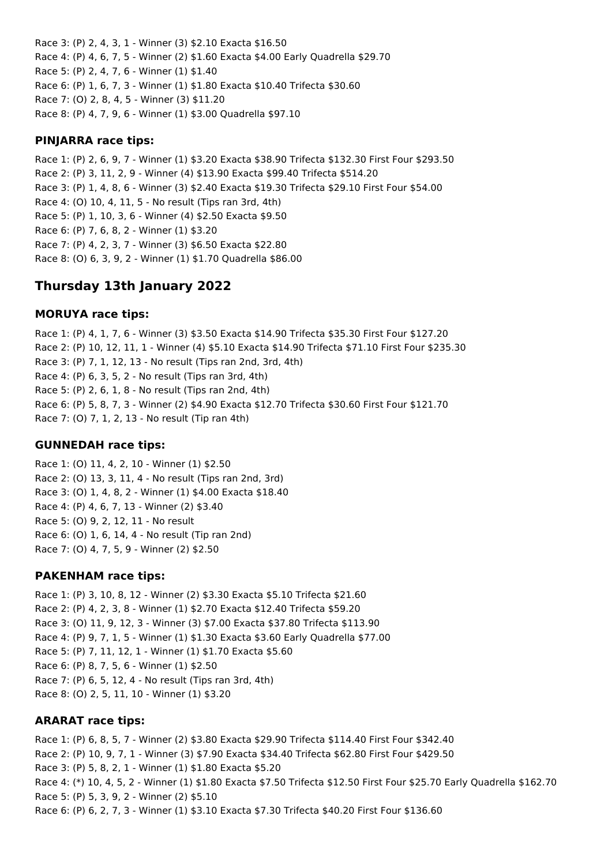Race 3: (P) 2, 4, 3, 1 - Winner (3) \$2.10 Exacta \$16.50 Race 4: (P) 4, 6, 7, 5 - Winner (2) \$1.60 Exacta \$4.00 Early Quadrella \$29.70 Race 5: (P) 2, 4, 7, 6 - Winner (1) \$1.40 Race 6: (P) 1, 6, 7, 3 - Winner (1) \$1.80 Exacta \$10.40 Trifecta \$30.60 Race 7: (O) 2, 8, 4, 5 - Winner (3) \$11.20 Race 8: (P) 4, 7, 9, 6 - Winner (1) \$3.00 Quadrella \$97.10

## **PINJARRA race tips:**

Race 1: (P) 2, 6, 9, 7 - Winner (1) \$3.20 Exacta \$38.90 Trifecta \$132.30 First Four \$293.50 Race 2: (P) 3, 11, 2, 9 - Winner (4) \$13.90 Exacta \$99.40 Trifecta \$514.20 Race 3: (P) 1, 4, 8, 6 - Winner (3) \$2.40 Exacta \$19.30 Trifecta \$29.10 First Four \$54.00 Race 4: (O) 10, 4, 11, 5 - No result (Tips ran 3rd, 4th) Race 5: (P) 1, 10, 3, 6 - Winner (4) \$2.50 Exacta \$9.50 Race 6: (P) 7, 6, 8, 2 - Winner (1) \$3.20 Race 7: (P) 4, 2, 3, 7 - Winner (3) \$6.50 Exacta \$22.80 Race 8: (O) 6, 3, 9, 2 - Winner (1) \$1.70 Quadrella \$86.00

## **Thursday 13th January 2022**

### **MORUYA race tips:**

Race 1: (P) 4, 1, 7, 6 - Winner (3) \$3.50 Exacta \$14.90 Trifecta \$35.30 First Four \$127.20 Race 2: (P) 10, 12, 11, 1 - Winner (4) \$5.10 Exacta \$14.90 Trifecta \$71.10 First Four \$235.30 Race 3: (P) 7, 1, 12, 13 - No result (Tips ran 2nd, 3rd, 4th) Race 4: (P) 6, 3, 5, 2 - No result (Tips ran 3rd, 4th) Race 5: (P) 2, 6, 1, 8 - No result (Tips ran 2nd, 4th) Race 6: (P) 5, 8, 7, 3 - Winner (2) \$4.90 Exacta \$12.70 Trifecta \$30.60 First Four \$121.70 Race 7: (O) 7, 1, 2, 13 - No result (Tip ran 4th)

### **GUNNEDAH race tips:**

Race 1: (O) 11, 4, 2, 10 - Winner (1) \$2.50 Race 2: (O) 13, 3, 11, 4 - No result (Tips ran 2nd, 3rd) Race 3: (O) 1, 4, 8, 2 - Winner (1) \$4.00 Exacta \$18.40 Race 4: (P) 4, 6, 7, 13 - Winner (2) \$3.40 Race 5: (O) 9, 2, 12, 11 - No result Race 6: (O) 1, 6, 14, 4 - No result (Tip ran 2nd) Race 7: (O) 4, 7, 5, 9 - Winner (2) \$2.50

### **PAKENHAM race tips:**

Race 1: (P) 3, 10, 8, 12 - Winner (2) \$3.30 Exacta \$5.10 Trifecta \$21.60 Race 2: (P) 4, 2, 3, 8 - Winner (1) \$2.70 Exacta \$12.40 Trifecta \$59.20 Race 3: (O) 11, 9, 12, 3 - Winner (3) \$7.00 Exacta \$37.80 Trifecta \$113.90 Race 4: (P) 9, 7, 1, 5 - Winner (1) \$1.30 Exacta \$3.60 Early Quadrella \$77.00 Race 5: (P) 7, 11, 12, 1 - Winner (1) \$1.70 Exacta \$5.60 Race 6: (P) 8, 7, 5, 6 - Winner (1) \$2.50 Race 7: (P) 6, 5, 12, 4 - No result (Tips ran 3rd, 4th) Race 8: (O) 2, 5, 11, 10 - Winner (1) \$3.20

### **ARARAT race tips:**

Race 1: (P) 6, 8, 5, 7 - Winner (2) \$3.80 Exacta \$29.90 Trifecta \$114.40 First Four \$342.40 Race 2: (P) 10, 9, 7, 1 - Winner (3) \$7.90 Exacta \$34.40 Trifecta \$62.80 First Four \$429.50 Race 3: (P) 5, 8, 2, 1 - Winner (1) \$1.80 Exacta \$5.20 Race 4: (\*) 10, 4, 5, 2 - Winner (1) \$1.80 Exacta \$7.50 Trifecta \$12.50 First Four \$25.70 Early Quadrella \$162.70 Race 5: (P) 5, 3, 9, 2 - Winner (2) \$5.10 Race 6: (P) 6, 2, 7, 3 - Winner (1) \$3.10 Exacta \$7.30 Trifecta \$40.20 First Four \$136.60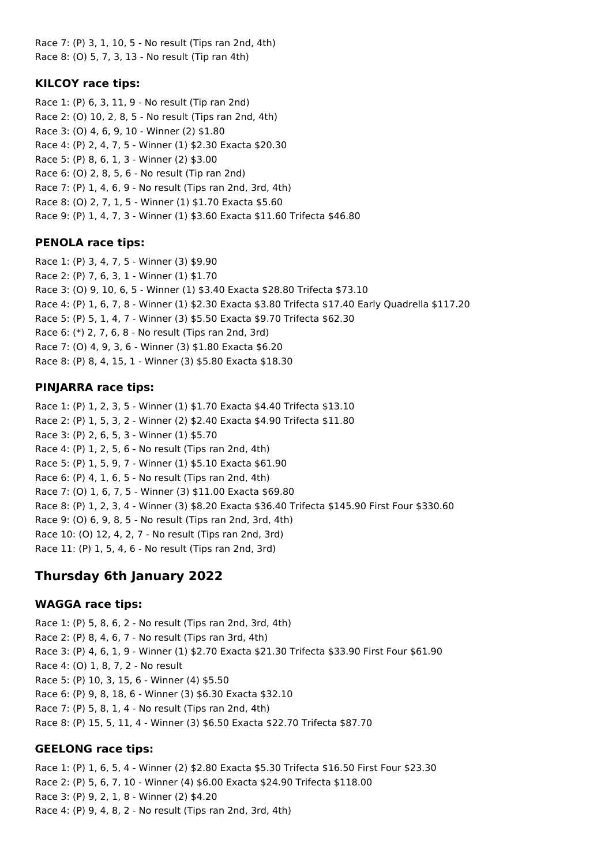Race 7: (P) 3, 1, 10, 5 - No result (Tips ran 2nd, 4th) Race 8: (O) 5, 7, 3, 13 - No result (Tip ran 4th)

## **KILCOY race tips:**

Race 1: (P) 6, 3, 11, 9 - No result (Tip ran 2nd) Race 2: (O) 10, 2, 8, 5 - No result (Tips ran 2nd, 4th) Race 3: (O) 4, 6, 9, 10 - Winner (2) \$1.80 Race 4: (P) 2, 4, 7, 5 - Winner (1) \$2.30 Exacta \$20.30 Race 5: (P) 8, 6, 1, 3 - Winner (2) \$3.00 Race 6: (O) 2, 8, 5, 6 - No result (Tip ran 2nd) Race 7: (P) 1, 4, 6, 9 - No result (Tips ran 2nd, 3rd, 4th) Race 8: (O) 2, 7, 1, 5 - Winner (1) \$1.70 Exacta \$5.60 Race 9: (P) 1, 4, 7, 3 - Winner (1) \$3.60 Exacta \$11.60 Trifecta \$46.80

## **PENOLA race tips:**

Race 1: (P) 3, 4, 7, 5 - Winner (3) \$9.90 Race 2: (P) 7, 6, 3, 1 - Winner (1) \$1.70 Race 3: (O) 9, 10, 6, 5 - Winner (1) \$3.40 Exacta \$28.80 Trifecta \$73.10 Race 4: (P) 1, 6, 7, 8 - Winner (1) \$2.30 Exacta \$3.80 Trifecta \$17.40 Early Quadrella \$117.20 Race 5: (P) 5, 1, 4, 7 - Winner (3) \$5.50 Exacta \$9.70 Trifecta \$62.30 Race 6: (\*) 2, 7, 6, 8 - No result (Tips ran 2nd, 3rd) Race 7: (O) 4, 9, 3, 6 - Winner (3) \$1.80 Exacta \$6.20 Race 8: (P) 8, 4, 15, 1 - Winner (3) \$5.80 Exacta \$18.30

## **PINJARRA race tips:**

Race 1: (P) 1, 2, 3, 5 - Winner (1) \$1.70 Exacta \$4.40 Trifecta \$13.10 Race 2: (P) 1, 5, 3, 2 - Winner (2) \$2.40 Exacta \$4.90 Trifecta \$11.80 Race 3: (P) 2, 6, 5, 3 - Winner (1) \$5.70 Race 4: (P) 1, 2, 5, 6 - No result (Tips ran 2nd, 4th) Race 5: (P) 1, 5, 9, 7 - Winner (1) \$5.10 Exacta \$61.90 Race 6: (P) 4, 1, 6, 5 - No result (Tips ran 2nd, 4th) Race 7: (O) 1, 6, 7, 5 - Winner (3) \$11.00 Exacta \$69.80 Race 8: (P) 1, 2, 3, 4 - Winner (3) \$8.20 Exacta \$36.40 Trifecta \$145.90 First Four \$330.60 Race 9: (O) 6, 9, 8, 5 - No result (Tips ran 2nd, 3rd, 4th) Race 10: (O) 12, 4, 2, 7 - No result (Tips ran 2nd, 3rd) Race 11: (P) 1, 5, 4, 6 - No result (Tips ran 2nd, 3rd)

# **Thursday 6th January 2022**

## **WAGGA race tips:**

Race 1: (P) 5, 8, 6, 2 - No result (Tips ran 2nd, 3rd, 4th) Race 2: (P) 8, 4, 6, 7 - No result (Tips ran 3rd, 4th) Race 3: (P) 4, 6, 1, 9 - Winner (1) \$2.70 Exacta \$21.30 Trifecta \$33.90 First Four \$61.90 Race 4: (O) 1, 8, 7, 2 - No result Race 5: (P) 10, 3, 15, 6 - Winner (4) \$5.50 Race 6: (P) 9, 8, 18, 6 - Winner (3) \$6.30 Exacta \$32.10 Race 7: (P) 5, 8, 1, 4 - No result (Tips ran 2nd, 4th) Race 8: (P) 15, 5, 11, 4 - Winner (3) \$6.50 Exacta \$22.70 Trifecta \$87.70

## **GEELONG race tips:**

Race 1: (P) 1, 6, 5, 4 - Winner (2) \$2.80 Exacta \$5.30 Trifecta \$16.50 First Four \$23.30 Race 2: (P) 5, 6, 7, 10 - Winner (4) \$6.00 Exacta \$24.90 Trifecta \$118.00 Race 3: (P) 9, 2, 1, 8 - Winner (2) \$4.20 Race 4: (P) 9, 4, 8, 2 - No result (Tips ran 2nd, 3rd, 4th)